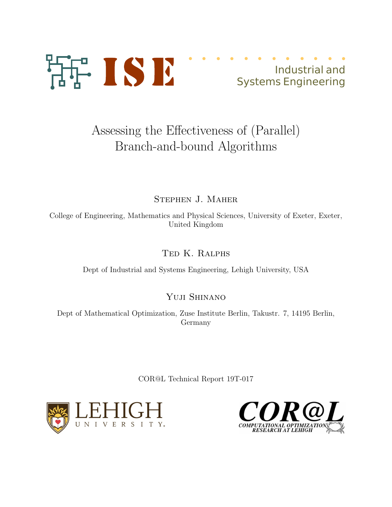

# Assessing the Effectiveness of (Parallel) Branch-and-bound Algorithms

Stephen J. Maher

College of Engineering, Mathematics and Physical Sciences, University of Exeter, Exeter, United Kingdom

Ted K. Ralphs

Dept of Industrial and Systems Engineering, Lehigh University, USA

Yuji Shinano

Dept of Mathematical Optimization, Zuse Institute Berlin, Takustr. 7, 14195 Berlin, Germany

COR@L Technical Report 19T-017



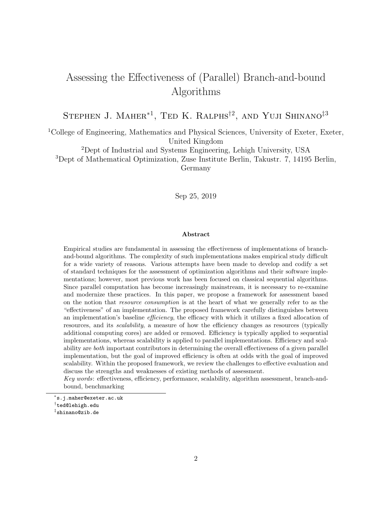## Assessing the Effectiveness of (Parallel) Branch-and-bound Algorithms

STEPHEN J. MAHER<sup>\*1</sup>, TED K. RALPHS<sup>†2</sup>, AND YUJI SHINANO<sup>‡3</sup>

<sup>1</sup>College of Engineering, Mathematics and Physical Sciences, University of Exeter, Exeter, United Kingdom

<sup>2</sup>Dept of Industrial and Systems Engineering, Lehigh University, USA

<sup>3</sup>Dept of Mathematical Optimization, Zuse Institute Berlin, Takustr. 7, 14195 Berlin,

Germany

Sep 25, 2019

#### Abstract

Empirical studies are fundamental in assessing the effectiveness of implementations of branchand-bound algorithms. The complexity of such implementations makes empirical study difficult for a wide variety of reasons. Various attempts have been made to develop and codify a set of standard techniques for the assessment of optimization algorithms and their software implementations; however, most previous work has been focused on classical sequential algorithms. Since parallel computation has become increasingly mainstream, it is necessary to re-examine and modernize these practices. In this paper, we propose a framework for assessment based on the notion that resource consumption is at the heart of what we generally refer to as the "effectiveness" of an implementation. The proposed framework carefully distinguishes between an implementation's baseline *efficiency*, the efficacy with which it utilizes a fixed allocation of resources, and its scalability, a measure of how the efficiency changes as resources (typically additional computing cores) are added or removed. Efficiency is typically applied to sequential implementations, whereas scalability is applied to parallel implementations. Efficiency and scalability are both important contributors in determining the overall effectiveness of a given parallel implementation, but the goal of improved efficiency is often at odds with the goal of improved scalability. Within the proposed framework, we review the challenges to effective evaluation and discuss the strengths and weaknesses of existing methods of assessment.

Key words: effectiveness, efficiency, performance, scalability, algorithm assessment, branch-andbound, benchmarking

<sup>∗</sup> s.j.maher@exeter.ac.uk

<sup>†</sup> ted@lehigh.edu

<sup>‡</sup> shinano@zib.de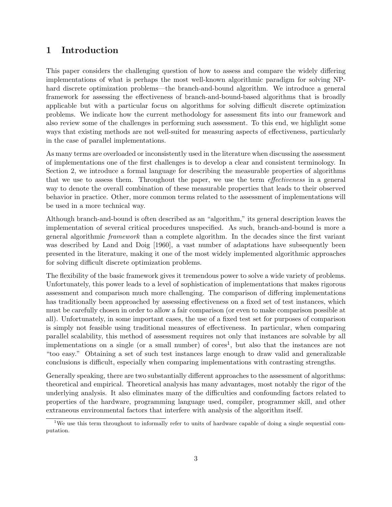## 1 Introduction

This paper considers the challenging question of how to assess and compare the widely differing implementations of what is perhaps the most well-known algorithmic paradigm for solving NPhard discrete optimization problems—the branch-and-bound algorithm. We introduce a general framework for assessing the effectiveness of branch-and-bound-based algorithms that is broadly applicable but with a particular focus on algorithms for solving difficult discrete optimization problems. We indicate how the current methodology for assessment fits into our framework and also review some of the challenges in performing such assessment. To this end, we highlight some ways that existing methods are not well-suited for measuring aspects of effectiveness, particularly in the case of parallel implementations.

As many terms are overloaded or inconsistently used in the literature when discussing the assessment of implementations one of the first challenges is to develop a clear and consistent terminology. In Section 2, we introduce a formal language for describing the measurable properties of algorithms that we use to assess them. Throughout the paper, we use the term effectiveness in a general way to denote the overall combination of these measurable properties that leads to their observed behavior in practice. Other, more common terms related to the assessment of implementations will be used in a more technical way.

Although branch-and-bound is often described as an "algorithm," its general description leaves the implementation of several critical procedures unspecified. As such, branch-and-bound is more a general algorithmic framework than a complete algorithm. In the decades since the first variant was described by Land and Doig [1960], a vast number of adaptations have subsequently been presented in the literature, making it one of the most widely implemented algorithmic approaches for solving difficult discrete optimization problems.

The flexibility of the basic framework gives it tremendous power to solve a wide variety of problems. Unfortunately, this power leads to a level of sophistication of implementations that makes rigorous assessment and comparison much more challenging. The comparison of differing implementations has traditionally been approached by assessing effectiveness on a fixed set of test instances, which must be carefully chosen in order to allow a fair comparison (or even to make comparison possible at all). Unfortunately, in some important cases, the use of a fixed test set for purposes of comparison is simply not feasible using traditional measures of effectiveness. In particular, when comparing parallel scalability, this method of assessment requires not only that instances are solvable by all implementations on a single (or a small number) of  $\text{cores}^1$ , but also that the instances are not "too easy." Obtaining a set of such test instances large enough to draw valid and generalizable conclusions is difficult, especially when comparing implementations with contrasting strengths.

Generally speaking, there are two substantially different approaches to the assessment of algorithms: theoretical and empirical. Theoretical analysis has many advantages, most notably the rigor of the underlying analysis. It also eliminates many of the difficulties and confounding factors related to properties of the hardware, programming language used, compiler, programmer skill, and other extraneous environmental factors that interfere with analysis of the algorithm itself.

<sup>&</sup>lt;sup>1</sup>We use this term throughout to informally refer to units of hardware capable of doing a single sequential computation.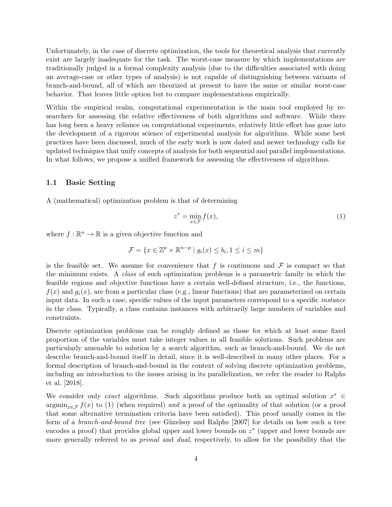Unfortunately, in the case of discrete optimization, the tools for theoretical analysis that currently exist are largely inadequate for the task. The worst-case measure by which implementations are traditionally judged in a formal complexity analysis (due to the difficulties associated with doing an average-case or other types of analysis) is not capable of distinguishing between variants of branch-and-bound, all of which are theorized at present to have the same or similar worst-case behavior. That leaves little option but to compare implementations empirically.

Within the empirical realm, computational experimentation is the main tool employed by researchers for assessing the relative effectiveness of both algorithms and software. While there has long been a heavy reliance on computational experiments, relatively little effort has gone into the development of a rigorous science of experimental analysis for algorithms. While some best practices have been discussed, much of the early work is now dated and newer technology calls for updated techniques that unify concepts of analysis for both sequential and parallel implementations. In what follows, we propose a unified framework for assessing the effectiveness of algorithms.

#### 1.1 Basic Setting

A (mathematical) optimization problem is that of determining

$$
z^* = \min_{x \in \mathcal{F}} f(x),\tag{1}
$$

where  $f : \mathbb{R}^n \to \mathbb{R}$  is a given objective function and

$$
\mathcal{F} = \{ x \in \mathbb{Z}^p \times \mathbb{R}^{n-p} \mid g_i(x) \le b_i, 1 \le i \le m \}
$$

is the feasible set. We assume for convenience that f is continuous and  $\mathcal F$  is compact so that the minimum exists. A class of such optimization problems is a parametric family in which the feasible regions and objective functions have a certain well-defined structure, i.e., the functions,  $f(x)$  and  $g_i(x)$ , are from a particular class (e.g., linear functions) that are parameterized on certain input data. In such a case, specific values of the input parameters correspond to a specific *instance* in the class. Typically, a class contains instances with arbitrarily large numbers of variables and constraints.

Discrete optimization problems can be roughly defined as those for which at least some fixed proportion of the variables must take integer values in all feasible solutions. Such problems are particularly amenable to solution by a search algorithm, such as branch-and-bound. We do not describe branch-and-bound itself in detail, since it is well-described in many other places. For a formal description of branch-and-bound in the context of solving discrete optimization problems, including an introduction to the issues arising in its parallelization, we refer the reader to Ralphs et al. [2018].

We consider only exact algorithms. Such algorithms produce both an optimal solution  $x^* \in$  $\operatorname{argmin}_{x \in \mathcal{F}} f(x)$  to (1) (when required) and a proof of the optimality of that solution (or a proof that some alternative termination criteria have been satisfied). This proof usually comes in the form of a *branch-and-bound tree* (see Güzelsoy and Ralphs [2007] for details on how such a tree encodes a proof) that provides global upper and lower bounds on  $z^*$  (upper and lower bounds are more generally referred to as *primal* and *dual*, respectively, to allow for the possibility that the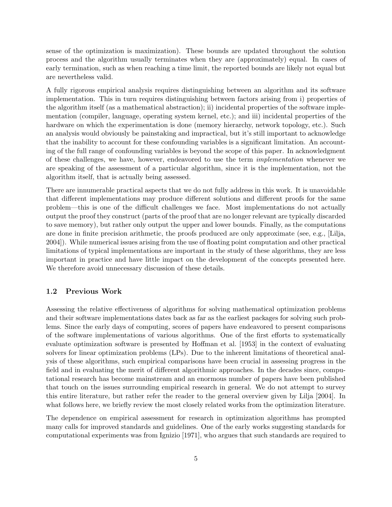sense of the optimization is maximization). These bounds are updated throughout the solution process and the algorithm usually terminates when they are (approximately) equal. In cases of early termination, such as when reaching a time limit, the reported bounds are likely not equal but are nevertheless valid.

A fully rigorous empirical analysis requires distinguishing between an algorithm and its software implementation. This in turn requires distinguishing between factors arising from i) properties of the algorithm itself (as a mathematical abstraction); ii) incidental properties of the software implementation (compiler, language, operating system kernel, etc.); and iii) incidental properties of the hardware on which the experimentation is done (memory hierarchy, network topology, etc.). Such an analysis would obviously be painstaking and impractical, but it's still important to acknowledge that the inability to account for these confounding variables is a significant limitation. An accounting of the full range of confounding variables is beyond the scope of this paper. In acknowledgment of these challenges, we have, however, endeavored to use the term implementation whenever we are speaking of the assessment of a particular algorithm, since it is the implementation, not the algorithm itself, that is actually being assessed.

There are innumerable practical aspects that we do not fully address in this work. It is unavoidable that different implementations may produce different solutions and different proofs for the same problem—this is one of the difficult challenges we face. Most implementations do not actually output the proof they construct (parts of the proof that are no longer relevant are typically discarded to save memory), but rather only output the upper and lower bounds. Finally, as the computations are done in finite precision arithmetic, the proofs produced are only approximate (see, e.g., [Lilja, 2004]). While numerical issues arising from the use of floating point computation and other practical limitations of typical implementations are important in the study of these algorithms, they are less important in practice and have little impact on the development of the concepts presented here. We therefore avoid unnecessary discussion of these details.

#### 1.2 Previous Work

Assessing the relative effectiveness of algorithms for solving mathematical optimization problems and their software implementations dates back as far as the earliest packages for solving such problems. Since the early days of computing, scores of papers have endeavored to present comparisons of the software implementations of various algorithms. One of the first efforts to systematically evaluate optimization software is presented by Hoffman et al. [1953] in the context of evaluating solvers for linear optimization problems (LPs). Due to the inherent limitations of theoretical analysis of these algorithms, such empirical comparisons have been crucial in assessing progress in the field and in evaluating the merit of different algorithmic approaches. In the decades since, computational research has become mainstream and an enormous number of papers have been published that touch on the issues surrounding empirical research in general. We do not attempt to survey this entire literature, but rather refer the reader to the general overview given by Lilja [2004]. In what follows here, we briefly review the most closely related works from the optimization literature.

The dependence on empirical assessment for research in optimization algorithms has prompted many calls for improved standards and guidelines. One of the early works suggesting standards for computational experiments was from Ignizio [1971], who argues that such standards are required to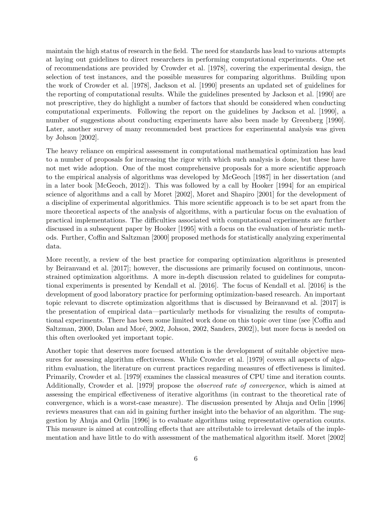maintain the high status of research in the field. The need for standards has lead to various attempts at laying out guidelines to direct researchers in performing computational experiments. One set of recommendations are provided by Crowder et al. [1978], covering the experimental design, the selection of test instances, and the possible measures for comparing algorithms. Building upon the work of Crowder et al. [1978], Jackson et al. [1990] presents an updated set of guidelines for the reporting of computational results. While the guidelines presented by Jackson et al. [1990] are not prescriptive, they do highlight a number of factors that should be considered when conducting computational experiments. Following the report on the guidelines by Jackson et al. [1990], a number of suggestions about conducting experiments have also been made by Greenberg [1990]. Later, another survey of many recommended best practices for experimental analysis was given by Johson [2002].

The heavy reliance on empirical assessment in computational mathematical optimization has lead to a number of proposals for increasing the rigor with which such analysis is done, but these have not met wide adoption. One of the most comprehensive proposals for a more scientific approach to the empirical analysis of algorithms was developed by McGeoch [1987] in her dissertation (and in a later book [McGeoch, 2012]). This was followed by a call by Hooker [1994] for an empirical science of algorithms and a call by Moret [2002], Moret and Shapiro [2001] for the development of a discipline of experimental algorithmics. This more scientific approach is to be set apart from the more theoretical aspects of the analysis of algorithms, with a particular focus on the evaluation of practical implementations. The difficulties associated with computational experiments are further discussed in a subsequent paper by Hooker [1995] with a focus on the evaluation of heuristic methods. Further, Coffin and Saltzman [2000] proposed methods for statistically analyzing experimental data.

More recently, a review of the best practice for comparing optimization algorithms is presented by Beiranvand et al. [2017]; however, the discussions are primarily focused on continuous, unconstrained optimization algorithms. A more in-depth discussion related to guidelines for computational experiments is presented by Kendall et al. [2016]. The focus of Kendall et al. [2016] is the development of good laboratory practice for performing optimization-based research. An important topic relevant to discrete optimization algorithms that is discussed by Beiranvand et al. [2017] is the presentation of empirical data—particularly methods for visualizing the results of computational experiments. There has been some limited work done on this topic over time (see [Coffin and Saltzman, 2000, Dolan and Moré, 2002, Johson, 2002, Sanders, 2002), but more focus is needed on this often overlooked yet important topic.

Another topic that deserves more focused attention is the development of suitable objective measures for assessing algorithm effectiveness. While Crowder et al. [1979] covers all aspects of algorithm evaluation, the literature on current practices regarding measures of effectiveness is limited. Primarily, Crowder et al. [1979] examines the classical measures of CPU time and iteration counts. Additionally, Crowder et al. [1979] propose the observed rate of convergence, which is aimed at assessing the empirical effectiveness of iterative algorithms (in contrast to the theoretical rate of convergence, which is a worst-case measure). The discussion presented by Ahuja and Orlin [1996] reviews measures that can aid in gaining further insight into the behavior of an algorithm. The suggestion by Ahuja and Orlin [1996] is to evaluate algorithms using representative operation counts. This measure is aimed at controlling effects that are attributable to irrelevant details of the implementation and have little to do with assessment of the mathematical algorithm itself. Moret [2002]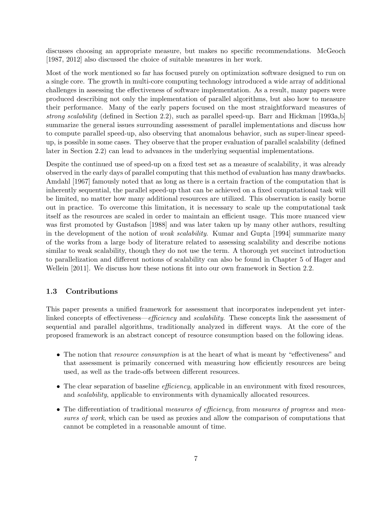discusses choosing an appropriate measure, but makes no specific recommendations. McGeoch [1987, 2012] also discussed the choice of suitable measures in her work.

Most of the work mentioned so far has focused purely on optimization software designed to run on a single core. The growth in multi-core computing technology introduced a wide array of additional challenges in assessing the effectiveness of software implementation. As a result, many papers were produced describing not only the implementation of parallel algorithms, but also how to measure their performance. Many of the early papers focused on the most straightforward measures of strong scalability (defined in Section 2.2), such as parallel speed-up. Barr and Hickman [1993a,b] summarize the general issues surrounding assessment of parallel implementations and discuss how to compute parallel speed-up, also observing that anomalous behavior, such as super-linear speedup, is possible in some cases. They observe that the proper evaluation of parallel scalability (defined later in Section 2.2) can lead to advances in the underlying sequential implementations.

Despite the continued use of speed-up on a fixed test set as a measure of scalability, it was already observed in the early days of parallel computing that this method of evaluation has many drawbacks. Amdahl [1967] famously noted that as long as there is a certain fraction of the computation that is inherently sequential, the parallel speed-up that can be achieved on a fixed computational task will be limited, no matter how many additional resources are utilized. This observation is easily borne out in practice. To overcome this limitation, it is necessary to scale up the computational task itself as the resources are scaled in order to maintain an efficient usage. This more nuanced view was first promoted by Gustafson [1988] and was later taken up by many other authors, resulting in the development of the notion of weak scalability. Kumar and Gupta [1994] summarize many of the works from a large body of literature related to assessing scalability and describe notions similar to weak scalability, though they do not use the term. A thorough yet succinct introduction to parallelization and different notions of scalability can also be found in Chapter 5 of Hager and Wellein [2011]. We discuss how these notions fit into our own framework in Section 2.2.

#### 1.3 Contributions

This paper presents a unified framework for assessment that incorporates independent yet interlinked concepts of effectiveness—*efficiency* and *scalability*. These concepts link the assessment of sequential and parallel algorithms, traditionally analyzed in different ways. At the core of the proposed framework is an abstract concept of resource consumption based on the following ideas.

- The notion that *resource consumption* is at the heart of what is meant by "effectiveness" and that assessment is primarily concerned with measuring how efficiently resources are being used, as well as the trade-offs between different resources.
- The clear separation of baseline *efficiency*, applicable in an environment with fixed resources, and scalability, applicable to environments with dynamically allocated resources.
- The differentiation of traditional measures of efficiency, from measures of progress and measures of work, which can be used as proxies and allow the comparison of computations that cannot be completed in a reasonable amount of time.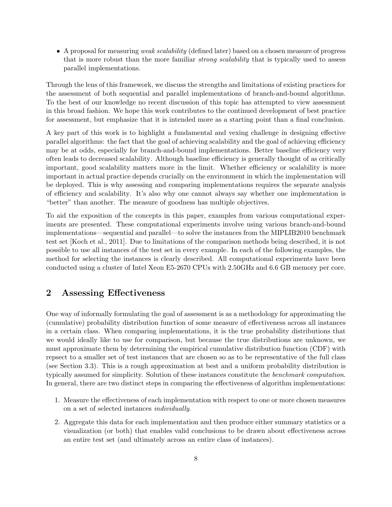• A proposal for measuring weak scalability (defined later) based on a chosen measure of progress that is more robust than the more familiar *strong scalability* that is typically used to assess parallel implementations.

Through the lens of this framework, we discuss the strengths and limitations of existing practices for the assessment of both sequential and parallel implementations of branch-and-bound algorithms. To the best of our knowledge no recent discussion of this topic has attempted to view assessment in this broad fashion. We hope this work contributes to the continued development of best practice for assessment, but emphasize that it is intended more as a starting point than a final conclusion.

A key part of this work is to highlight a fundamental and vexing challenge in designing effective parallel algorithms: the fact that the goal of achieving scalability and the goal of achieving efficiency may be at odds, especially for branch-and-bound implementations. Better baseline efficiency very often leads to decreased scalability. Although baseline efficiency is generally thought of as critically important, good scalability matters more in the limit. Whether efficiency or scalability is more important in actual practice depends crucially on the environment in which the implementation will be deployed. This is why assessing and comparing implementations requires the separate analysis of efficiency and scalability. It's also why one cannot always say whether one implementation is "better" than another. The measure of goodness has multiple objectives.

To aid the exposition of the concepts in this paper, examples from various computational experiments are presented. These computational experiments involve using various branch-and-bound implementations—sequential and parallel—to solve the instances from the MIPLIB2010 benchmark test set [Koch et al., 2011]. Due to limitations of the comparison methods being described, it is not possible to use all instances of the test set in every example. In each of the following examples, the method for selecting the instances is clearly described. All computational experiments have been conducted using a cluster of Intel Xeon E5-2670 CPUs with 2.50GHz and 6.6 GB memory per core.

## 2 Assessing Effectiveness

One way of informally formulating the goal of assessment is as a methodology for approximating the (cumulative) probability distribution function of some measure of effectiveness across all instances in a certain class. When comparing implementations, it is the true probability distributions that we would ideally like to use for comparison, but because the true distributions are unknown, we must approximate them by determining the empirical cumulative distribution function (CDF) with repsect to a smaller set of test instances that are chosen so as to be representative of the full class (see Section 3.3). This is a rough approximation at best and a uniform probability distribution is typically assumed for simplicity. Solution of these instances constitute the benchmark computation. In general, there are two distinct steps in comparing the effectiveness of algorithm implementations:

- 1. Measure the effectiveness of each implementation with respect to one or more chosen measures on a set of selected instances individually.
- 2. Aggregate this data for each implementation and then produce either summary statistics or a visualization (or both) that enables valid conclusions to be drawn about effectiveness across an entire test set (and ultimately across an entire class of instances).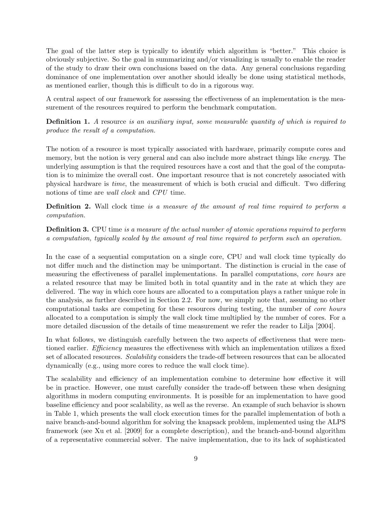The goal of the latter step is typically to identify which algorithm is "better." This choice is obviously subjective. So the goal in summarizing and/or visualizing is usually to enable the reader of the study to draw their own conclusions based on the data. Any general conclusions regarding dominance of one implementation over another should ideally be done using statistical methods, as mentioned earlier, though this is difficult to do in a rigorous way.

A central aspect of our framework for assessing the effectiveness of an implementation is the measurement of the resources required to perform the benchmark computation.

**Definition 1.** A resource is an auxiliary input, some measurable quantity of which is required to produce the result of a computation.

The notion of a resource is most typically associated with hardware, primarily compute cores and memory, but the notion is very general and can also include more abstract things like *energy*. The underlying assumption is that the required resources have a cost and that the goal of the computation is to minimize the overall cost. One important resource that is not concretely associated with physical hardware is time, the measurement of which is both crucial and difficult. Two differing notions of time are *wall clock* and *CPU* time.

**Definition 2.** Wall clock time is a measure of the amount of real time required to perform a computation.

**Definition 3.** CPU time is a measure of the actual number of atomic operations required to perform a computation, typically scaled by the amount of real time required to perform such an operation.

In the case of a sequential computation on a single core, CPU and wall clock time typically do not differ much and the distinction may be unimportant. The distinction is crucial in the case of measuring the effectiveness of parallel implementations. In parallel computations, core hours are a related resource that may be limited both in total quantity and in the rate at which they are delivered. The way in which core hours are allocated to a computation plays a rather unique role in the analysis, as further described in Section 2.2. For now, we simply note that, assuming no other computational tasks are competing for these resources during testing, the number of core hours allocated to a computation is simply the wall clock time multiplied by the number of cores. For a more detailed discussion of the details of time measurement we refer the reader to Lilja [2004].

In what follows, we distinguish carefully between the two aspects of effectiveness that were mentioned earlier. *Efficiency* measures the effectiveness with which an implementation utilizes a fixed set of allocated resources. Scalability considers the trade-off between resources that can be allocated dynamically (e.g., using more cores to reduce the wall clock time).

The scalability and efficiency of an implementation combine to determine how effective it will be in practice. However, one must carefully consider the trade-off between these when designing algorithms in modern computing environments. It is possible for an implementation to have good baseline efficiency and poor scalability, as well as the reverse. An example of such behavior is shown in Table 1, which presents the wall clock execution times for the parallel implementation of both a naive branch-and-bound algorithm for solving the knapsack problem, implemented using the ALPS framework (see Xu et al. [2009] for a complete description), and the branch-and-bound algorithm of a representative commercial solver. The naive implementation, due to its lack of sophisticated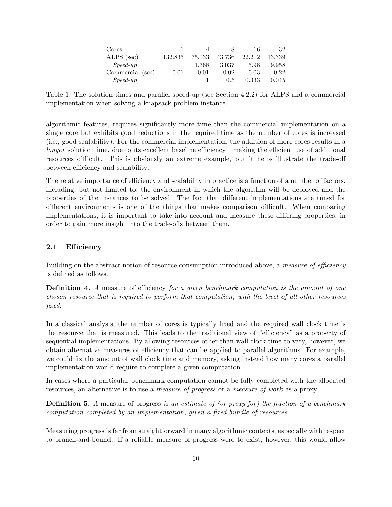| Cores            |         |        |        | 16     | 32     |
|------------------|---------|--------|--------|--------|--------|
| ALPS (sec)       | 132.835 | 75.133 | 43.736 | 22.212 | 13.339 |
| $Speed-up$       |         | 1.768  | 3.037  | 5.98   | 9.958  |
| Commercial (sec) | 0.01    | 0.01   | 0.02   | 0.03   | 0.22   |
| $Speed-up$       |         |        | 0.5    | 0.333  | 0.045  |

Table 1: The solution times and parallel speed-up (see Section 4.2.2) for ALPS and a commercial implementation when solving a knapsack problem instance.

algorithmic features, requires significantly more time than the commercial implementation on a single core but exhibits good reductions in the required time as the number of cores is increased (i.e., good scalability). For the commercial implementation, the addition of more cores results in a longer solution time, due to its excellent baseline efficiency—making the efficient use of additional resources difficult. This is obviously an extreme example, but it helps illustrate the trade-off between efficiency and scalability.

The relative importance of efficiency and scalability in practice is a function of a number of factors, including, but not limited to, the environment in which the algorithm will be deployed and the properties of the instances to be solved. The fact that different implementations are tuned for different environments is one of the things that makes comparison difficult. When comparing implementations, it is important to take into account and measure these differing properties, in order to gain more insight into the trade-offs between them.

#### 2.1 Efficiency

Building on the abstract notion of resource consumption introduced above, a measure of efficiency is defined as follows.

**Definition 4.** A measure of efficiency for a given benchmark computation is the amount of one chosen resource that is required to perform that computation, with the level of all other resources fixed.

In a classical analysis, the number of cores is typically fixed and the required wall clock time is the resource that is measured. This leads to the traditional view of "efficiency" as a property of sequential implementations. By allowing resources other than wall clock time to vary, however, we obtain alternative measures of efficiency that can be applied to parallel algorithms. For example, we could fix the amount of wall clock time and memory, asking instead how many cores a parallel implementation would require to complete a given computation.

In cases where a particular benchmark computation cannot be fully completed with the allocated resources, an alternative is to use a measure of progress or a measure of work as a proxy.

**Definition 5.** A measure of progress is an estimate of (or proxy for) the fraction of a benchmark computation completed by an implementation, given a fixed bundle of resources.

Measuring progress is far from straightforward in many algorithmic contexts, especially with respect to branch-and-bound. If a reliable measure of progress were to exist, however, this would allow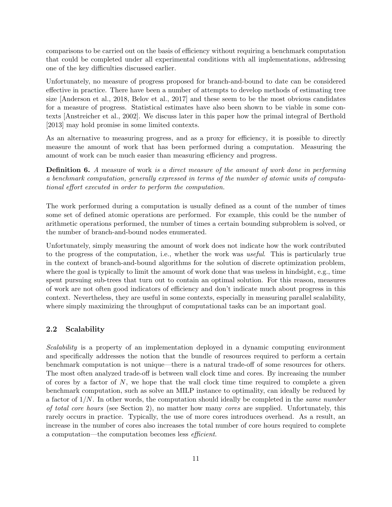comparisons to be carried out on the basis of efficiency without requiring a benchmark computation that could be completed under all experimental conditions with all implementations, addressing one of the key difficulties discussed earlier.

Unfortunately, no measure of progress proposed for branch-and-bound to date can be considered effective in practice. There have been a number of attempts to develop methods of estimating tree size [Anderson et al., 2018, Belov et al., 2017] and these seem to be the most obvious candidates for a measure of progress. Statistical estimates have also been shown to be viable in some contexts [Anstreicher et al., 2002]. We discuss later in this paper how the primal integral of Berthold [2013] may hold promise in some limited contexts.

As an alternative to measuring progress, and as a proxy for efficiency, it is possible to directly measure the amount of work that has been performed during a computation. Measuring the amount of work can be much easier than measuring efficiency and progress.

**Definition 6.** A measure of work is a direct measure of the amount of work done in performing a benchmark computation, generally expressed in terms of the number of atomic units of computational effort executed in order to perform the computation.

The work performed during a computation is usually defined as a count of the number of times some set of defined atomic operations are performed. For example, this could be the number of arithmetic operations performed, the number of times a certain bounding subproblem is solved, or the number of branch-and-bound nodes enumerated.

Unfortunately, simply measuring the amount of work does not indicate how the work contributed to the progress of the computation, i.e., whether the work was useful. This is particularly true in the context of branch-and-bound algorithms for the solution of discrete optimization problem, where the goal is typically to limit the amount of work done that was useless in hindsight, e.g., time spent pursuing sub-trees that turn out to contain an optimal solution. For this reason, measures of work are not often good indicators of efficiency and don't indicate much about progress in this context. Nevertheless, they are useful in some contexts, especially in measuring parallel scalability, where simply maximizing the throughput of computational tasks can be an important goal.

#### 2.2 Scalability

Scalability is a property of an implementation deployed in a dynamic computing environment and specifically addresses the notion that the bundle of resources required to perform a certain benchmark computation is not unique—there is a natural trade-off of some resources for others. The most often analyzed trade-off is between wall clock time and cores. By increasing the number of cores by a factor of  $N$ , we hope that the wall clock time time required to complete a given benchmark computation, such as solve an MILP instance to optimality, can ideally be reduced by a factor of  $1/N$ . In other words, the computation should ideally be completed in the *same number* of total core hours (see Section 2), no matter how many cores are supplied. Unfortunately, this rarely occurs in practice. Typically, the use of more cores introduces overhead. As a result, an increase in the number of cores also increases the total number of core hours required to complete a computation—the computation becomes less efficient.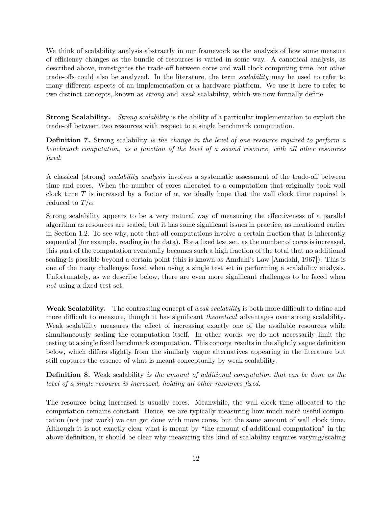We think of scalability analysis abstractly in our framework as the analysis of how some measure of efficiency changes as the bundle of resources is varied in some way. A canonical analysis, as described above, investigates the trade-off between cores and wall clock computing time, but other trade-offs could also be analyzed. In the literature, the term scalability may be used to refer to many different aspects of an implementation or a hardware platform. We use it here to refer to two distinct concepts, known as strong and weak scalability, which we now formally define.

Strong Scalability. Strong scalability is the ability of a particular implementation to exploit the trade-off between two resources with respect to a single benchmark computation.

Definition 7. Strong scalability is the change in the level of one resource required to perform a benchmark computation, as a function of the level of a second resource, with all other resources fixed.

A classical (strong) scalability analysis involves a systematic assessment of the trade-off between time and cores. When the number of cores allocated to a computation that originally took wall clock time T is increased by a factor of  $\alpha$ , we ideally hope that the wall clock time required is reduced to  $T/\alpha$ 

Strong scalability appears to be a very natural way of measuring the effectiveness of a parallel algorithm as resources are scaled, but it has some significant issues in practice, as mentioned earlier in Section 1.2. To see why, note that all computations involve a certain fraction that is inherently sequential (for example, reading in the data). For a fixed test set, as the number of cores is increased, this part of the computation eventually becomes such a high fraction of the total that no additional scaling is possible beyond a certain point (this is known as Amdahl's Law [Amdahl, 1967]). This is one of the many challenges faced when using a single test set in performing a scalability analysis. Unfortunately, as we describe below, there are even more significant challenges to be faced when not using a fixed test set.

Weak Scalability. The contrasting concept of *weak scalability* is both more difficult to define and more difficult to measure, though it has significant *theoretical* advantages over strong scalability. Weak scalability measures the effect of increasing exactly one of the available resources while simultaneously scaling the computation itself. In other words, we do not necessarily limit the testing to a single fixed benchmark computation. This concept results in the slightly vague definition below, which differs slightly from the similarly vague alternatives appearing in the literature but still captures the essence of what is meant conceptually by weak scalability.

**Definition 8.** Weak scalability is the amount of additional computation that can be done as the level of a single resource is increased, holding all other resources fixed.

The resource being increased is usually cores. Meanwhile, the wall clock time allocated to the computation remains constant. Hence, we are typically measuring how much more useful computation (not just work) we can get done with more cores, but the same amount of wall clock time. Although it is not exactly clear what is meant by "the amount of additional computation" in the above definition, it should be clear why measuring this kind of scalability requires varying/scaling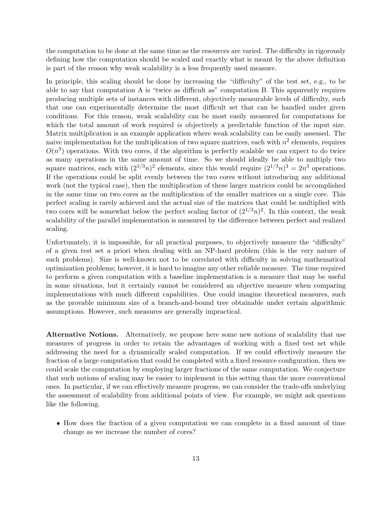the computation to be done at the same time as the resources are varied. The difficulty in rigorously defining how the computation should be scaled and exactly what is meant by the above definition is part of the reason why weak scalability is a less frequently used measure.

In principle, this scaling should be done by increasing the "difficulty" of the test set, e.g., to be able to say that computation A is "twice as difficult as" computation B. This apparently requires producing multiple sets of instances with different, objectively measurable levels of difficulty, such that one can experimentally determine the most difficult set that can be handled under given conditions. For this reason, weak scalability can be most easily measured for computations for which the total amount of work required is objectively a predictable function of the input size. Matrix multiplication is an example application where weak scalability can be easily assessed. The naive implementation for the multiplication of two square matrices, each with  $n^2$  elements, requires  $O(n^3)$  operations. With two cores, if the algorithm is perfectly scalable we can expect to do twice as many operations in the same amount of time. So we should ideally be able to multiply two square matrices, each with  $(2^{1/3}n)^2$  elements, since this would require  $(2^{1/3}n)^3 = 2n^3$  operations. If the operations could be split evenly between the two cores without introducing any additional work (not the typical case), then the multiplication of these larger matrices could be accomplished in the same time on two cores as the multiplication of the smaller matrices on a single core. This perfect scaling is rarely achieved and the actual size of the matrices that could be multiplied with two cores will be somewhat below the perfect scaling factor of  $(2^{1/3}n)^2$ . In this context, the weak scalability of the parallel implementation is measured by the difference between perfect and realized scaling.

Unfortunately, it is impossible, for all practical purposes, to objectively measure the "difficulty" of a given test set a priori when dealing with an NP-hard problem (this is the very nature of such problems). Size is well-known not to be correlated with difficulty in solving mathematical optimization problems; however, it is hard to imagine any other reliable measure. The time required to perform a given computation with a baseline implementation is a measure that may be useful in some situations, but it certainly cannot be considered an objective measure when comparing implementations with much different capabilities. One could imagine theoretical measures, such as the provable minimum size of a branch-and-bound tree obtainable under certain algorithmic assumptions. However, such measures are generally impractical.

Alternative Notions. Alternatively, we propose here some new notions of scalability that use measures of progress in order to retain the advantages of working with a fixed test set while addressing the need for a dynamically scaled computation. If we could effectively measure the fraction of a large computation that could be completed with a fixed resource configuration, then we could scale the computation by employing larger fractions of the same computation. We conjecture that such notions of scaling may be easier to implement in this setting than the more conventional ones. In particular, if we can effectively measure progress, we can consider the trade-offs underlying the assessment of scalability from additional points of view. For example, we might ask questions like the following.

• How does the fraction of a given computation we can complete in a fixed amount of time change as we increase the number of cores?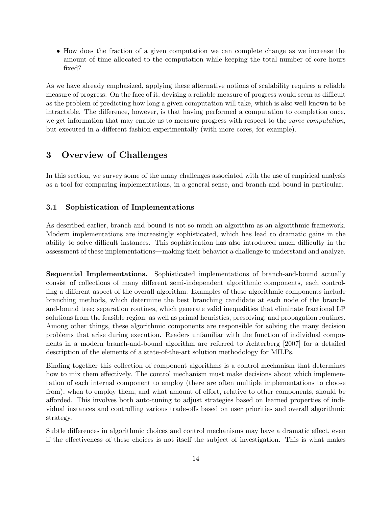• How does the fraction of a given computation we can complete change as we increase the amount of time allocated to the computation while keeping the total number of core hours fixed?

As we have already emphasized, applying these alternative notions of scalability requires a reliable measure of progress. On the face of it, devising a reliable measure of progress would seem as difficult as the problem of predicting how long a given computation will take, which is also well-known to be intractable. The difference, however, is that having performed a computation to completion once, we get information that may enable us to measure progress with respect to the *same computation*, but executed in a different fashion experimentally (with more cores, for example).

## 3 Overview of Challenges

In this section, we survey some of the many challenges associated with the use of empirical analysis as a tool for comparing implementations, in a general sense, and branch-and-bound in particular.

#### 3.1 Sophistication of Implementations

As described earlier, branch-and-bound is not so much an algorithm as an algorithmic framework. Modern implementations are increasingly sophisticated, which has lead to dramatic gains in the ability to solve difficult instances. This sophistication has also introduced much difficulty in the assessment of these implementations—making their behavior a challenge to understand and analyze.

Sequential Implementations. Sophisticated implementations of branch-and-bound actually consist of collections of many different semi-independent algorithmic components, each controlling a different aspect of the overall algorithm. Examples of these algorithmic components include branching methods, which determine the best branching candidate at each node of the branchand-bound tree; separation routines, which generate valid inequalities that eliminate fractional LP solutions from the feasible region; as well as primal heuristics, presolving, and propagation routines. Among other things, these algorithmic components are responsible for solving the many decision problems that arise during execution. Readers unfamiliar with the function of individual components in a modern branch-and-bound algorithm are referred to Achterberg [2007] for a detailed description of the elements of a state-of-the-art solution methodology for MILPs.

Binding together this collection of component algorithms is a control mechanism that determines how to mix them effectively. The control mechanism must make decisions about which implementation of each internal component to employ (there are often multiple implementations to choose from), when to employ them, and what amount of effort, relative to other components, should be afforded. This involves both auto-tuning to adjust strategies based on learned properties of individual instances and controlling various trade-offs based on user priorities and overall algorithmic strategy.

Subtle differences in algorithmic choices and control mechanisms may have a dramatic effect, even if the effectiveness of these choices is not itself the subject of investigation. This is what makes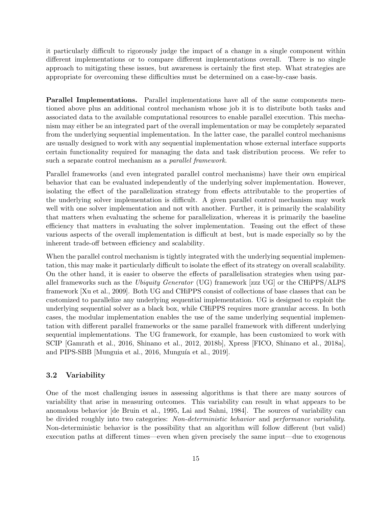it particularly difficult to rigorously judge the impact of a change in a single component within different implementations or to compare different implementations overall. There is no single approach to mitigating these issues, but awareness is certainly the first step. What strategies are appropriate for overcoming these difficulties must be determined on a case-by-case basis.

Parallel Implementations. Parallel implementations have all of the same components mentioned above plus an additional control mechanism whose job it is to distribute both tasks and associated data to the available computational resources to enable parallel execution. This mechanism may either be an integrated part of the overall implementation or may be completely separated from the underlying sequential implementation. In the latter case, the parallel control mechanisms are usually designed to work with any sequential implementation whose external interface supports certain functionality required for managing the data and task distribution process. We refer to such a separate control mechanism as a parallel framework.

Parallel frameworks (and even integrated parallel control mechanisms) have their own empirical behavior that can be evaluated independently of the underlying solver implementation. However, isolating the effect of the parallelization strategy from effects attributable to the properties of the underlying solver implementation is difficult. A given parallel control mechanism may work well with one solver implementation and not with another. Further, it is primarily the scalability that matters when evaluating the scheme for parallelization, whereas it is primarily the baseline efficiency that matters in evaluating the solver implementation. Teasing out the effect of these various aspects of the overall implementation is difficult at best, but is made especially so by the inherent trade-off between efficiency and scalability.

When the parallel control mechanism is tightly integrated with the underlying sequential implementation, this may make it particularly difficult to isolate the effect of its strategy on overall scalability. On the other hand, it is easier to observe the effects of parallelisation strategies when using parallel frameworks such as the Ubiquity Generator (UG) framework [zzz UG] or the CHiPPS/ALPS framework [Xu et al., 2009]. Both UG and CHiPPS consist of collections of base classes that can be customized to parallelize any underlying sequential implementation. UG is designed to exploit the underlying sequential solver as a black box, while CHiPPS requires more granular access. In both cases, the modular implementation enables the use of the same underlying sequential implementation with different parallel frameworks or the same parallel framework with different underlying sequential implementations. The UG framework, for example, has been customized to work with SCIP [Gamrath et al., 2016, Shinano et al., 2012, 2018b], Xpress [FICO, Shinano et al., 2018a], and PIPS-SBB [Munguia et al., 2016, Munguía et al., 2019].

#### 3.2 Variability

One of the most challenging issues in assessing algorithms is that there are many sources of variability that arise in measuring outcomes. This variability can result in what appears to be anomalous behavior [de Bruin et al., 1995, Lai and Sahni, 1984]. The sources of variability can be divided roughly into two categories: Non-deterministic behavior and performance variability. Non-deterministic behavior is the possibility that an algorithm will follow different (but valid) execution paths at different times—even when given precisely the same input—due to exogenous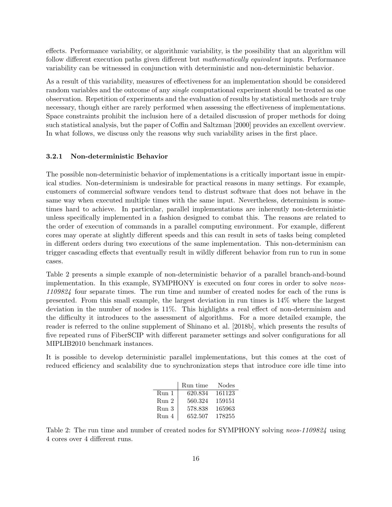effects. Performance variability, or algorithmic variability, is the possibility that an algorithm will follow different execution paths given different but *mathematically equivalent* inputs. Performance variability can be witnessed in conjunction with deterministic and non-deterministic behavior.

As a result of this variability, measures of effectiveness for an implementation should be considered random variables and the outcome of any *single* computational experiment should be treated as one observation. Repetition of experiments and the evaluation of results by statistical methods are truly necessary, though either are rarely performed when assessing the effectiveness of implementations. Space constraints prohibit the inclusion here of a detailed discussion of proper methods for doing such statistical analysis, but the paper of Coffin and Saltzman [2000] provides an excellent overview. In what follows, we discuss only the reasons why such variability arises in the first place.

#### 3.2.1 Non-deterministic Behavior

The possible non-deterministic behavior of implementations is a critically important issue in empirical studies. Non-determinism is undesirable for practical reasons in many settings. For example, customers of commercial software vendors tend to distrust software that does not behave in the same way when executed multiple times with the same input. Nevertheless, determinism is sometimes hard to achieve. In particular, parallel implementations are inherently non-deterministic unless specifically implemented in a fashion designed to combat this. The reasons are related to the order of execution of commands in a parallel computing environment. For example, different cores may operate at slightly different speeds and this can result in sets of tasks being completed in different orders during two executions of the same implementation. This non-determinism can trigger cascading effects that eventually result in wildly different behavior from run to run in some cases.

Table 2 presents a simple example of non-deterministic behavior of a parallel branch-and-bound implementation. In this example, SYMPHONY is executed on four cores in order to solve neos-1109824 four separate times. The run time and number of created nodes for each of the runs is presented. From this small example, the largest deviation in run times is 14% where the largest deviation in the number of nodes is 11%. This highlights a real effect of non-determinism and the difficulty it introduces to the assessment of algorithms. For a more detailed example, the reader is referred to the online supplement of Shinano et al. [2018b], which presents the results of five repeated runs of FiberSCIP with different parameter settings and solver configurations for all MIPLIB2010 benchmark instances.

It is possible to develop deterministic parallel implementations, but this comes at the cost of reduced efficiency and scalability due to synchronization steps that introduce core idle time into

|       | Run time | <b>Nodes</b> |
|-------|----------|--------------|
| Run 1 | 620.834  | 161123       |
| Run 2 | 560.324  | 159151       |
| Run 3 | 578.838  | 165963       |
| Run 4 | 652.507  | 178255       |

Table 2: The run time and number of created nodes for SYMPHONY solving neos-1109824 using 4 cores over 4 different runs.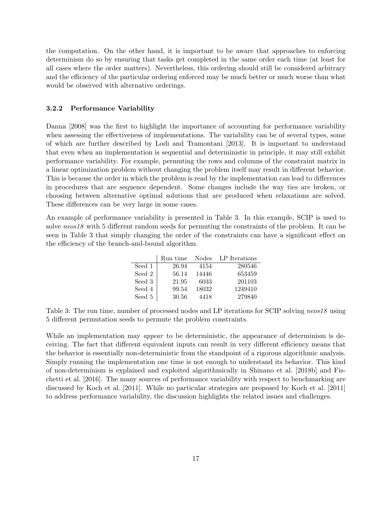the computation. On the other hand, it is important to be aware that approaches to enforcing determinism do so by ensuring that tasks get completed in the same order each time (at least for all cases where the order matters). Nevertheless, this ordering should still be considered arbitrary and the efficiency of the particular ordering enforced may be much better or much worse than what would be observed with alternative orderings.

#### 3.2.2 Performance Variability

Danna [2008] was the first to highlight the importance of accounting for performance variability when assessing the effectiveness of implementations. The variability can be of several types, some of which are further described by Lodi and Tramontani [2013]. It is important to understand that even when an implementation is sequential and deterministic in principle, it may still exhibit performance variability. For example, permuting the rows and columns of the constraint matrix in a linear optimization problem without changing the problem itself may result in different behavior. This is because the order in which the problem is read by the implementation can lead to differences in procedures that are sequence dependent. Some changes include the way ties are broken, or choosing between alternative optimal solutions that are produced when relaxations are solved. These differences can be very large in some cases.

An example of performance variability is presented in Table 3. In this example, SCIP is used to solve neos18 with 5 different random seeds for permuting the constraints of the problem. It can be seen in Table 3 that simply changing the order of the constraints can have a significant effect on the efficiency of the branch-and-bound algorithm.

|        | Run time | <b>Nodes</b> | LP Iterations |
|--------|----------|--------------|---------------|
| Seed 1 | 26.94    | 4154         | 280546        |
| Seed 2 | 56.14    | 14446        | 653459        |
| Seed 3 | 21.95    | 6033         | 201103        |
| Seed 4 | 99.54    | 18032        | 1249410       |
| Seed 5 | 30.56    | 4418         | 279840        |

Table 3: The run time, number of processed nodes and LP iterations for SCIP solving neos18 using 5 different permutation seeds to permute the problem constraints.

While an implementation may *appear* to be deterministic, the appearance of determinism is deceiving. The fact that different equivalent inputs can result in very different efficiency means that the behavior is essentially non-deterministic from the standpoint of a rigorous algorithmic analysis. Simply running the implementation one time is not enough to understand its behavior. This kind of non-determinism is explained and exploited algorithmically in Shinano et al. [2018b] and Fischetti et al. [2016]. The many sources of performance variability with respect to benchmarking are discussed by Koch et al. [2011]. While no particular strategies are proposed by Koch et al. [2011] to address performance variability, the discussion highlights the related issues and challenges.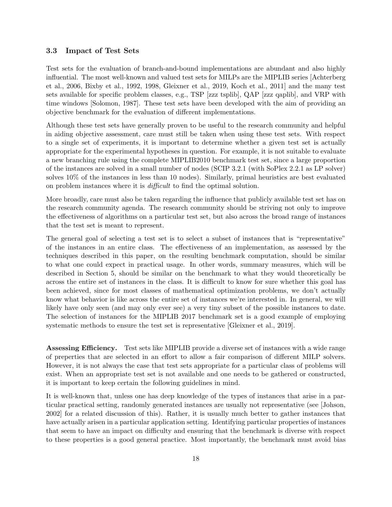#### 3.3 Impact of Test Sets

Test sets for the evaluation of branch-and-bound implementations are abundant and also highly influential. The most well-known and valued test sets for MILPs are the MIPLIB series [Achterberg et al., 2006, Bixby et al., 1992, 1998, Gleixner et al., 2019, Koch et al., 2011] and the many test sets available for specific problem classes, e.g., TSP [zzz tsplib], QAP [zzz qaplib], and VRP with time windows [Solomon, 1987]. These test sets have been developed with the aim of providing an objective benchmark for the evaluation of different implementations.

Although these test sets have generally proven to be useful to the research community and helpful in aiding objective assessment, care must still be taken when using these test sets. With respect to a single set of experiments, it is important to determine whether a given test set is actually appropriate for the experimental hypotheses in question. For example, it is not suitable to evaluate a new branching rule using the complete MIPLIB2010 benchmark test set, since a large proportion of the instances are solved in a small number of nodes (SCIP 3.2.1 (with SoPlex 2.2.1 as LP solver) solves 10% of the instances in less than 10 nodes). Similarly, primal heuristics are best evaluated on problem instances where it is difficult to find the optimal solution.

More broadly, care must also be taken regarding the influence that publicly available test set has on the research community agenda. The research community should be striving not only to improve the effectiveness of algorithms on a particular test set, but also across the broad range of instances that the test set is meant to represent.

The general goal of selecting a test set is to select a subset of instances that is "representative" of the instances in an entire class. The effectiveness of an implementation, as assessed by the techniques described in this paper, on the resulting benchmark computation, should be similar to what one could expect in practical usage. In other words, summary measures, which will be described in Section 5, should be similar on the benchmark to what they would theoretically be across the entire set of instances in the class. It is difficult to know for sure whether this goal has been achieved, since for most classes of mathematical optimization problems, we don't actually know what behavior is like across the entire set of instances we're interested in. In general, we will likely have only seen (and may only ever see) a very tiny subset of the possible instances to date. The selection of instances for the MIPLIB 2017 benchmark set is a good example of employing systematic methods to ensure the test set is representative [Gleixner et al., 2019].

Assessing Efficiency. Test sets like MIPLIB provide a diverse set of instances with a wide range of preperties that are selected in an effort to allow a fair comparison of different MILP solvers. However, it is not always the case that test sets appropriate for a particular class of problems will exist. When an appropriate test set is not available and one needs to be gathered or constructed, it is important to keep certain the following guidelines in mind.

It is well-known that, unless one has deep knowledge of the types of instances that arise in a particular practical setting, randomly generated instances are usually not representative (see [Johson, 2002] for a related discussion of this). Rather, it is usually much better to gather instances that have actually arisen in a particular application setting. Identifying particular properties of instances that seem to have an impact on difficulty and ensuring that the benchmark is diverse with respect to these properties is a good general practice. Most importantly, the benchmark must avoid bias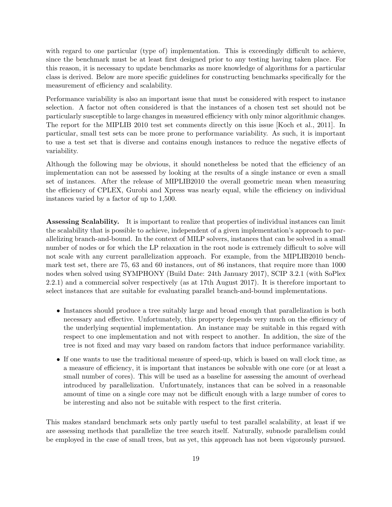with regard to one particular (type of) implementation. This is exceedingly difficult to achieve, since the benchmark must be at least first designed prior to any testing having taken place. For this reason, it is necessary to update benchmarks as more knowledge of algorithms for a particular class is derived. Below are more specific guidelines for constructing benchmarks specifically for the measurement of efficiency and scalability.

Performance variability is also an important issue that must be considered with respect to instance selection. A factor not often considered is that the instances of a chosen test set should not be particularly susceptible to large changes in measured efficiency with only minor algorithmic changes. The report for the MIPLIB 2010 test set comments directly on this issue [Koch et al., 2011]. In particular, small test sets can be more prone to performance variability. As such, it is important to use a test set that is diverse and contains enough instances to reduce the negative effects of variability.

Although the following may be obvious, it should nonetheless be noted that the efficiency of an implementation can not be assessed by looking at the results of a single instance or even a small set of instances. After the release of MIPLIB2010 the overall geometric mean when measuring the efficiency of CPLEX, Gurobi and Xpress was nearly equal, while the efficiency on individual instances varied by a factor of up to 1,500.

Assessing Scalability. It is important to realize that properties of individual instances can limit the scalability that is possible to achieve, independent of a given implementation's approach to parallelizing branch-and-bound. In the context of MILP solvers, instances that can be solved in a small number of nodes or for which the LP relaxation in the root node is extremely difficult to solve will not scale with any current parallelization approach. For example, from the MIPLIB2010 benchmark test set, there are 75, 63 and 60 instances, out of 86 instances, that require more than 1000 nodes when solved using SYMPHONY (Build Date: 24th January 2017), SCIP 3.2.1 (with SoPlex 2.2.1) and a commercial solver respectively (as at 17th August 2017). It is therefore important to select instances that are suitable for evaluating parallel branch-and-bound implementations.

- Instances should produce a tree suitably large and broad enough that parallelization is both necessary and effective. Unfortunately, this property depends very much on the efficiency of the underlying sequential implementation. An instance may be suitable in this regard with respect to one implementation and not with respect to another. In addition, the size of the tree is not fixed and may vary based on random factors that induce performance variability.
- If one wants to use the traditional measure of speed-up, which is based on wall clock time, as a measure of efficiency, it is important that instances be solvable with one core (or at least a small number of cores). This will be used as a baseline for assessing the amount of overhead introduced by parallelization. Unfortunately, instances that can be solved in a reasonable amount of time on a single core may not be difficult enough with a large number of cores to be interesting and also not be suitable with respect to the first criteria.

This makes standard benchmark sets only partly useful to test parallel scalability, at least if we are assessing methods that parallelize the tree search itself. Naturally, subnode parallelism could be employed in the case of small trees, but as yet, this approach has not been vigorously pursued.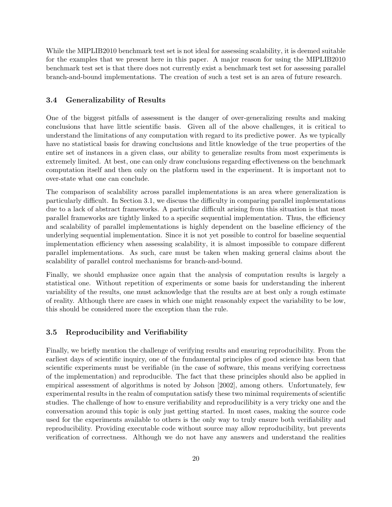While the MIPLIB2010 benchmark test set is not ideal for assessing scalability, it is deemed suitable for the examples that we present here in this paper. A major reason for using the MIPLIB2010 benchmark test set is that there does not currently exist a benchmark test set for assessing parallel branch-and-bound implementations. The creation of such a test set is an area of future research.

#### 3.4 Generalizability of Results

One of the biggest pitfalls of assessment is the danger of over-generalizing results and making conclusions that have little scientific basis. Given all of the above challenges, it is critical to understand the limitations of any computation with regard to its predictive power. As we typically have no statistical basis for drawing conclusions and little knowledge of the true properties of the entire set of instances in a given class, our ability to generalize results from most experiments is extremely limited. At best, one can only draw conclusions regarding effectiveness on the benchmark computation itself and then only on the platform used in the experiment. It is important not to over-state what one can conclude.

The comparison of scalability across parallel implementations is an area where generalization is particularly difficult. In Section 3.1, we discuss the difficulty in comparing parallel implementations due to a lack of abstract frameworks. A particular difficult arising from this situation is that most parallel frameworks are tightly linked to a specific sequential implementation. Thus, the efficiency and scalability of parallel implementations is highly dependent on the baseline efficiency of the underlying sequential implementation. Since it is not yet possible to control for baseline sequential implementation efficiency when assessing scalability, it is almost impossible to compare different parallel implementations. As such, care must be taken when making general claims about the scalability of parallel control mechanisms for branch-and-bound.

Finally, we should emphasize once again that the analysis of computation results is largely a statistical one. Without repetition of experiments or some basis for understanding the inherent variability of the results, one must acknowledge that the results are at best only a rough estimate of reality. Although there are cases in which one might reasonably expect the variability to be low, this should be considered more the exception than the rule.

#### 3.5 Reproducibility and Verifiability

Finally, we briefly mention the challenge of verifying results and ensuring reproducibility. From the earliest days of scientific inquiry, one of the fundamental principles of good science has been that scientific experiments must be verifiable (in the case of software, this means verifying correctness of the implementation) and reproducible. The fact that these principles should also be applied in empirical assessment of algorithms is noted by Johson [2002], among others. Unfortunately, few experimental results in the realm of computation satisfy these two minimal requirements of scientific studies. The challenge of how to ensure verifiability and reproducilibity is a very tricky one and the conversation around this topic is only just getting started. In most cases, making the source code used for the experiments available to others is the only way to truly ensure both verifiability and reproducibility. Providing executable code without source may allow reproducibility, but prevents verification of correctness. Although we do not have any answers and understand the realities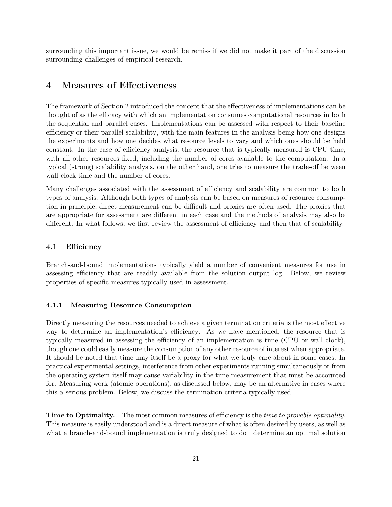surrounding this important issue, we would be remiss if we did not make it part of the discussion surrounding challenges of empirical research.

## 4 Measures of Effectiveness

The framework of Section 2 introduced the concept that the effectiveness of implementations can be thought of as the efficacy with which an implementation consumes computational resources in both the sequential and parallel cases. Implementations can be assessed with respect to their baseline efficiency or their parallel scalability, with the main features in the analysis being how one designs the experiments and how one decides what resource levels to vary and which ones should be held constant. In the case of efficiency analysis, the resource that is typically measured is CPU time, with all other resources fixed, including the number of cores available to the computation. In a typical (strong) scalability analysis, on the other hand, one tries to measure the trade-off between wall clock time and the number of cores.

Many challenges associated with the assessment of efficiency and scalability are common to both types of analysis. Although both types of analysis can be based on measures of resource consumption in principle, direct measurement can be difficult and proxies are often used. The proxies that are appropriate for assessment are different in each case and the methods of analysis may also be different. In what follows, we first review the assessment of efficiency and then that of scalability.

#### 4.1 Efficiency

Branch-and-bound implementations typically yield a number of convenient measures for use in assessing efficiency that are readily available from the solution output log. Below, we review properties of specific measures typically used in assessment.

#### 4.1.1 Measuring Resource Consumption

Directly measuring the resources needed to achieve a given termination criteria is the most effective way to determine an implementation's efficiency. As we have mentioned, the resource that is typically measured in assessing the efficiency of an implementation is time (CPU or wall clock), though one could easily measure the consumption of any other resource of interest when appropriate. It should be noted that time may itself be a proxy for what we truly care about in some cases. In practical experimental settings, interference from other experiments running simultaneously or from the operating system itself may cause variability in the time measurement that must be accounted for. Measuring work (atomic operations), as discussed below, may be an alternative in cases where this a serious problem. Below, we discuss the termination criteria typically used.

**Time to Optimality.** The most common measures of efficiency is the *time to provable optimality*. This measure is easily understood and is a direct measure of what is often desired by users, as well as what a branch-and-bound implementation is truly designed to do—determine an optimal solution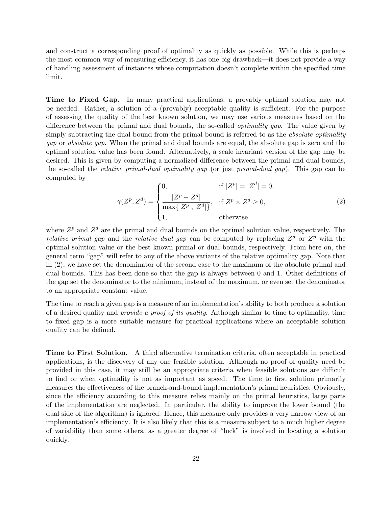and construct a corresponding proof of optimality as quickly as possible. While this is perhaps the most common way of measuring efficiency, it has one big drawback—it does not provide a way of handling assessment of instances whose computation doesn't complete within the specified time limit.

Time to Fixed Gap. In many practical applications, a provably optimal solution may not be needed. Rather, a solution of a (provably) acceptable quality is sufficient. For the purpose of assessing the quality of the best known solution, we may use various measures based on the difference between the primal and dual bounds, the so-called *optimality gap*. The value given by simply subtracting the dual bound from the primal bound is referred to as the *absolute optimality* gap or absolute gap. When the primal and dual bounds are equal, the absolute gap is zero and the optimal solution value has been found. Alternatively, a scale invariant version of the gap may be desired. This is given by computing a normalized difference between the primal and dual bounds, the so-called the relative primal-dual optimality gap (or just primal-dual gap). This gap can be computed by

$$
\gamma(Z^p, Z^d) = \begin{cases}\n0, & \text{if } |Z^p| = |Z^d| = 0, \\
\frac{|Z^p - Z^d|}{\max\{|Z^p|, |Z^d|\}}, & \text{if } Z^p \times Z^d \ge 0, \\
1, & \text{otherwise.} \n\end{cases}
$$
\n(2)

where  $Z^p$  and  $Z^d$  are the primal and dual bounds on the optimal solution value, respectively. The *relative primal gap* and the *relative dual gap* can be computed by replacing  $Z^d$  or  $Z^p$  with the optimal solution value or the best known primal or dual bounds, respectively. From here on, the general term "gap" will refer to any of the above variants of the relative optimality gap. Note that in (2), we have set the denominator of the second case to the maximum of the absolute primal and dual bounds. This has been done so that the gap is always between 0 and 1. Other definitions of the gap set the denominator to the minimum, instead of the maximum, or even set the denominator to an appropriate constant value.

The time to reach a given gap is a measure of an implementation's ability to both produce a solution of a desired quality and provide a proof of its quality. Although similar to time to optimality, time to fixed gap is a more suitable measure for practical applications where an acceptable solution quality can be defined.

Time to First Solution. A third alternative termination criteria, often acceptable in practical applications, is the discovery of any one feasible solution. Although no proof of quality need be provided in this case, it may still be an appropriate criteria when feasible solutions are difficult to find or when optimality is not as important as speed. The time to first solution primarily measures the effectiveness of the branch-and-bound implementation's primal heuristics. Obviously, since the efficiency according to this measure relies mainly on the primal heuristics, large parts of the implementation are neglected. In particular, the ability to improve the lower bound (the dual side of the algorithm) is ignored. Hence, this measure only provides a very narrow view of an implementation's efficiency. It is also likely that this is a measure subject to a much higher degree of variability than some others, as a greater degree of "luck" is involved in locating a solution quickly.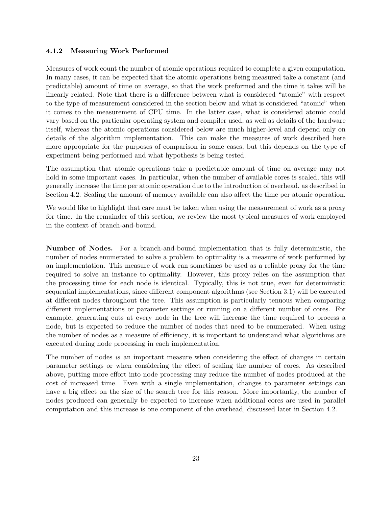#### 4.1.2 Measuring Work Performed

Measures of work count the number of atomic operations required to complete a given computation. In many cases, it can be expected that the atomic operations being measured take a constant (and predictable) amount of time on average, so that the work preformed and the time it takes will be linearly related. Note that there is a difference between what is considered "atomic" with respect to the type of measurement considered in the section below and what is considered "atomic" when it comes to the measurement of CPU time. In the latter case, what is considered atomic could vary based on the particular operating system and compiler used, as well as details of the hardware itself, whereas the atomic operations considered below are much higher-level and depend only on details of the algorithm implementation. This can make the measures of work described here more appropriate for the purposes of comparison in some cases, but this depends on the type of experiment being performed and what hypothesis is being tested.

The assumption that atomic operations take a predictable amount of time on average may not hold in some important cases. In particular, when the number of available cores is scaled, this will generally increase the time per atomic operation due to the introduction of overhead, as described in Section 4.2. Scaling the amount of memory available can also affect the time per atomic operation.

We would like to highlight that care must be taken when using the measurement of work as a proxy for time. In the remainder of this section, we review the most typical measures of work employed in the context of branch-and-bound.

Number of Nodes. For a branch-and-bound implementation that is fully deterministic, the number of nodes enumerated to solve a problem to optimality is a measure of work performed by an implementation. This measure of work can sometimes be used as a reliable proxy for the time required to solve an instance to optimality. However, this proxy relies on the assumption that the processing time for each node is identical. Typically, this is not true, even for deterministic sequential implementations, since different component algorithms (see Section 3.1) will be executed at different nodes throughout the tree. This assumption is particularly tenuous when comparing different implementations or parameter settings or running on a different number of cores. For example, generating cuts at every node in the tree will increase the time required to process a node, but is expected to reduce the number of nodes that need to be enumerated. When using the number of nodes as a measure of efficiency, it is important to understand what algorithms are executed during node processing in each implementation.

The number of nodes is an important measure when considering the effect of changes in certain parameter settings or when considering the effect of scaling the number of cores. As described above, putting more effort into node processing may reduce the number of nodes produced at the cost of increased time. Even with a single implementation, changes to parameter settings can have a big effect on the size of the search tree for this reason. More importantly, the number of nodes produced can generally be expected to increase when additional cores are used in parallel computation and this increase is one component of the overhead, discussed later in Section 4.2.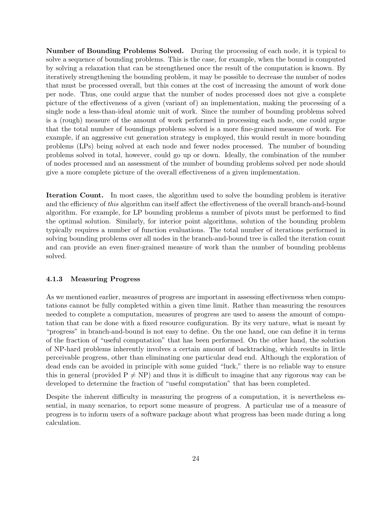Number of Bounding Problems Solved. During the processing of each node, it is typical to solve a sequence of bounding problems. This is the case, for example, when the bound is computed by solving a relaxation that can be strengthened once the result of the computation is known. By iteratively strengthening the bounding problem, it may be possible to decrease the number of nodes that must be processed overall, but this comes at the cost of increasing the amount of work done per node. Thus, one could argue that the number of nodes processed does not give a complete picture of the effectiveness of a given (variant of) an implementation, making the processing of a single node a less-than-ideal atomic unit of work. Since the number of bounding problems solved is a (rough) measure of the amount of work performed in processing each node, one could argue that the total number of boundings problems solved is a more fine-grained measure of work. For example, if an aggressive cut generation strategy is employed, this would result in more bounding problems (LPs) being solved at each node and fewer nodes processed. The number of bounding problems solved in total, however, could go up or down. Ideally, the combination of the number of nodes processed and an assessment of the number of bounding problems solved per node should give a more complete picture of the overall effectiveness of a given implementation.

Iteration Count. In most cases, the algorithm used to solve the bounding problem is iterative and the efficiency of this algorithm can itself affect the effectiveness of the overall branch-and-bound algorithm. For example, for LP bounding problems a number of pivots must be performed to find the optimal solution. Similarly, for interior point algorithms, solution of the bounding problem typically requires a number of function evaluations. The total number of iterations performed in solving bounding problems over all nodes in the branch-and-bound tree is called the iteration count and can provide an even finer-grained measure of work than the number of bounding problems solved.

#### 4.1.3 Measuring Progress

As we mentioned earlier, measures of progress are important in assessing effectiveness when computations cannot be fully completed within a given time limit. Rather than measuring the resources needed to complete a computation, measures of progress are used to assess the amount of computation that can be done with a fixed resource configuration. By its very nature, what is meant by "progress" in branch-and-bound is not easy to define. On the one hand, one can define it in terms of the fraction of "useful computation" that has been performed. On the other hand, the solution of NP-hard problems inherently involves a certain amount of backtracking, which results in little perceivable progress, other than eliminating one particular dead end. Although the exploration of dead ends can be avoided in principle with some guided "luck," there is no reliable way to ensure this in general (provided  $P \neq NP$ ) and thus it is difficult to imagine that any rigorous way can be developed to determine the fraction of "useful computation" that has been completed.

Despite the inherent difficulty in measuring the progress of a computation, it is nevertheless essential, in many scenarios, to report some measure of progress. A particular use of a measure of progress is to inform users of a software package about what progress has been made during a long calculation.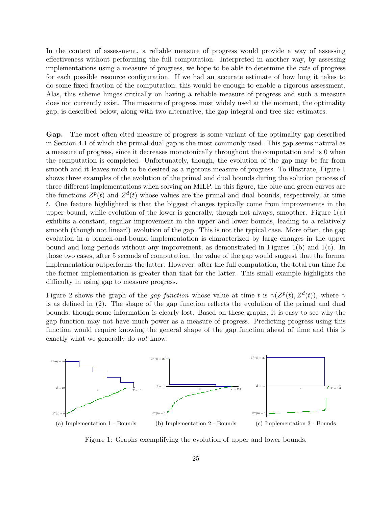In the context of assessment, a reliable measure of progress would provide a way of assessing effectiveness without performing the full computation. Interpreted in another way, by assessing implementations using a measure of progress, we hope to be able to determine the rate of progress for each possible resource configuration. If we had an accurate estimate of how long it takes to do some fixed fraction of the computation, this would be enough to enable a rigorous assessment. Alas, this scheme hinges critically on having a reliable measure of progress and such a measure does not currently exist. The measure of progress most widely used at the moment, the optimality gap, is described below, along with two alternative, the gap integral and tree size estimates.

Gap. The most often cited measure of progress is some variant of the optimality gap described in Section 4.1 of which the primal-dual gap is the most commonly used. This gap seems natural as a measure of progress, since it decreases monotonically throughout the computation and is 0 when the computation is completed. Unfortunately, though, the evolution of the gap may be far from smooth and it leaves much to be desired as a rigorous measure of progress. To illustrate, Figure 1 shows three examples of the evolution of the primal and dual bounds during the solution process of three different implementations when solving an MILP. In this figure, the blue and green curves are the functions  $Z^p(t)$  and  $Z^d(t)$  whose values are the primal and dual bounds, respectively, at time t. One feature highlighted is that the biggest changes typically come from improvements in the upper bound, while evolution of the lower is generally, though not always, smoother. Figure 1(a) exhibits a constant, regular improvement in the upper and lower bounds, leading to a relatively smooth (though not linear!) evolution of the gap. This is not the typical case. More often, the gap evolution in a branch-and-bound implementation is characterized by large changes in the upper bound and long periods without any improvement, as demonstrated in Figures 1(b) and 1(c). In those two cases, after 5 seconds of computation, the value of the gap would suggest that the former implementation outperforms the latter. However, after the full computation, the total run time for the former implementation is greater than that for the latter. This small example highlights the difficulty in using gap to measure progress.

Figure 2 shows the graph of the *gap function* whose value at time t is  $\gamma(Z^p(t), Z^d(t))$ , where  $\gamma$ is as defined in (2). The shape of the gap function reflects the evolution of the primal and dual bounds, though some information is clearly lost. Based on these graphs, it is easy to see why the gap function may not have much power as a measure of progress. Predicting progress using this function would require knowing the general shape of the gap function ahead of time and this is exactly what we generally do not know.



Figure 1: Graphs exemplifying the evolution of upper and lower bounds.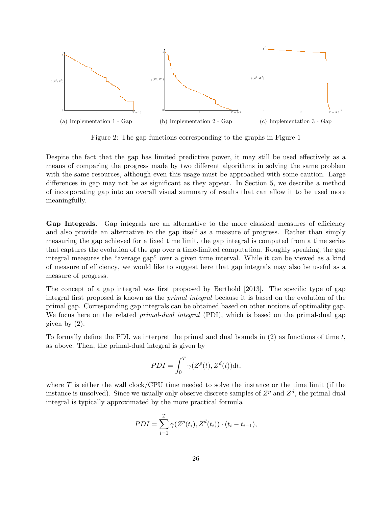

Figure 2: The gap functions corresponding to the graphs in Figure 1

Despite the fact that the gap has limited predictive power, it may still be used effectively as a means of comparing the progress made by two different algorithms in solving the same problem with the same resources, although even this usage must be approached with some caution. Large differences in gap may not be as significant as they appear. In Section 5, we describe a method of incorporating gap into an overall visual summary of results that can allow it to be used more meaningfully.

Gap Integrals. Gap integrals are an alternative to the more classical measures of efficiency and also provide an alternative to the gap itself as a measure of progress. Rather than simply measuring the gap achieved for a fixed time limit, the gap integral is computed from a time series that captures the evolution of the gap over a time-limited computation. Roughly speaking, the gap integral measures the "average gap" over a given time interval. While it can be viewed as a kind of measure of efficiency, we would like to suggest here that gap integrals may also be useful as a measure of progress.

The concept of a gap integral was first proposed by Berthold [2013]. The specific type of gap integral first proposed is known as the primal integral because it is based on the evolution of the primal gap. Corresponding gap integrals can be obtained based on other notions of optimality gap. We focus here on the related *primal-dual integral* (PDI), which is based on the primal-dual gap given by (2).

To formally define the PDI, we interpret the primal and dual bounds in  $(2)$  as functions of time t, as above. Then, the primal-dual integral is given by

$$
PDI = \int_0^T \gamma(Z^p(t), Z^d(t)) \mathrm{d}t,
$$

where  $T$  is either the wall clock/CPU time needed to solve the instance or the time limit (if the instance is unsolved). Since we usually only observe discrete samples of  $Z^p$  and  $Z^d$ , the primal-dual integral is typically approximated by the more practical formula

$$
PDI = \sum_{i=1}^{T} \gamma(Z^{p}(t_i), Z^{d}(t_i)) \cdot (t_i - t_{i-1}),
$$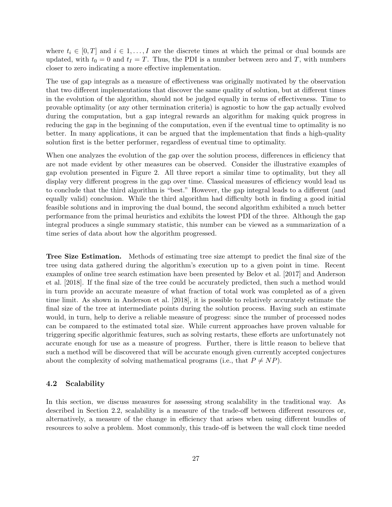where  $t_i \in [0, T]$  and  $i \in 1, \ldots, I$  are the discrete times at which the primal or dual bounds are updated, with  $t_0 = 0$  and  $t_1 = T$ . Thus, the PDI is a number between zero and T, with numbers closer to zero indicating a more effective implementation.

The use of gap integrals as a measure of effectiveness was originally motivated by the observation that two different implementations that discover the same quality of solution, but at different times in the evolution of the algorithm, should not be judged equally in terms of effectiveness. Time to provable optimality (or any other termination criteria) is agnostic to how the gap actually evolved during the computation, but a gap integral rewards an algorithm for making quick progress in reducing the gap in the beginning of the computation, even if the eventual time to optimality is no better. In many applications, it can be argued that the implementation that finds a high-quality solution first is the better performer, regardless of eventual time to optimality.

When one analyzes the evolution of the gap over the solution process, differences in efficiency that are not made evident by other measures can be observed. Consider the illustrative examples of gap evolution presented in Figure 2. All three report a similar time to optimality, but they all display very different progress in the gap over time. Classical measures of efficiency would lead us to conclude that the third algorithm is "best." However, the gap integral leads to a different (and equally valid) conclusion. While the third algorithm had difficulty both in finding a good initial feasible solutions and in improving the dual bound, the second algorithm exhibited a much better performance from the primal heuristics and exhibits the lowest PDI of the three. Although the gap integral produces a single summary statistic, this number can be viewed as a summarization of a time series of data about how the algorithm progressed.

Tree Size Estimation. Methods of estimating tree size attempt to predict the final size of the tree using data gathered during the algorithm's execution up to a given point in time. Recent examples of online tree search estimation have been presented by Belov et al. [2017] and Anderson et al. [2018]. If the final size of the tree could be accurately predicted, then such a method would in turn provide an accurate measure of what fraction of total work was completed as of a given time limit. As shown in Anderson et al. [2018], it is possible to relatively accurately estimate the final size of the tree at intermediate points during the solution process. Having such an estimate would, in turn, help to derive a reliable measure of progress: since the number of processed nodes can be compared to the estimated total size. While current approaches have proven valuable for triggering specific algorithmic features, such as solving restarts, these efforts are unfortunately not accurate enough for use as a measure of progress. Further, there is little reason to believe that such a method will be discovered that will be accurate enough given currently accepted conjectures about the complexity of solving mathematical programs (i.e., that  $P \neq NP$ ).

#### 4.2 Scalability

In this section, we discuss measures for assessing strong scalability in the traditional way. As described in Section 2.2, scalability is a measure of the trade-off between different resources or, alternatively, a measure of the change in efficiency that arises when using different bundles of resources to solve a problem. Most commonly, this trade-off is between the wall clock time needed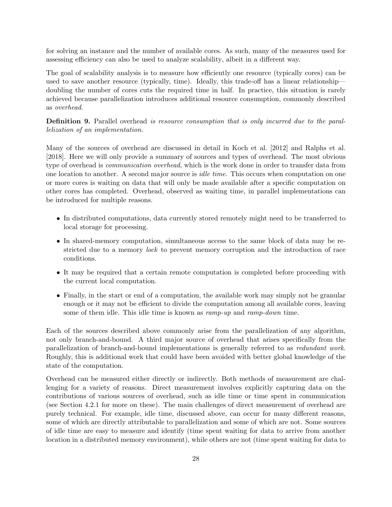for solving an instance and the number of available cores. As such, many of the measures used for assessing efficiency can also be used to analyze scalability, albeit in a different way.

The goal of scalability analysis is to measure how efficiently one resource (typically cores) can be used to save another resource (typically, time). Ideally, this trade-off has a linear relationship doubling the number of cores cuts the required time in half. In practice, this situation is rarely achieved because parallelization introduces additional resource consumption, commonly described as overhead.

**Definition 9.** Parallel overhead is resource consumption that is only incurred due to the parallelization of an implementation.

Many of the sources of overhead are discussed in detail in Koch et al. [2012] and Ralphs et al. [2018]. Here we will only provide a summary of sources and types of overhead. The most obvious type of overhead is communication overhead, which is the work done in order to transfer data from one location to another. A second major source is idle time. This occurs when computation on one or more cores is waiting on data that will only be made available after a specific computation on other cores has completed. Overhead, observed as waiting time, in parallel implementations can be introduced for multiple reasons.

- In distributed computations, data currently stored remotely might need to be transferred to local storage for processing.
- In shared-memory computation, simultaneous access to the same block of data may be restricted due to a memory *lock* to prevent memory corruption and the introduction of race conditions.
- It may be required that a certain remote computation is completed before proceeding with the current local computation.
- Finally, in the start or end of a computation, the available work may simply not be granular enough or it may not be efficient to divide the computation among all available cores, leaving some of them idle. This idle time is known as ramp-up and ramp-down time.

Each of the sources described above commonly arise from the parallelization of any algorithm, not only branch-and-bound. A third major source of overhead that arises specifically from the parallelization of branch-and-bound implementations is generally referred to as redundant work. Roughly, this is additional work that could have been avoided with better global knowledge of the state of the computation.

Overhead can be measured either directly or indirectly. Both methods of measurement are challenging for a variety of reasons. Direct measurement involves explicitly capturing data on the contributions of various sources of overhead, such as idle time or time spent in communication (see Section 4.2.1 for more on these). The main challenges of direct measurement of overhead are purely technical. For example, idle time, discussed above, can occur for many different reasons, some of which are directly attributable to parallelization and some of which are not. Some sources of idle time are easy to measure and identify (time spent waiting for data to arrive from another location in a distributed memory environment), while others are not (time spent waiting for data to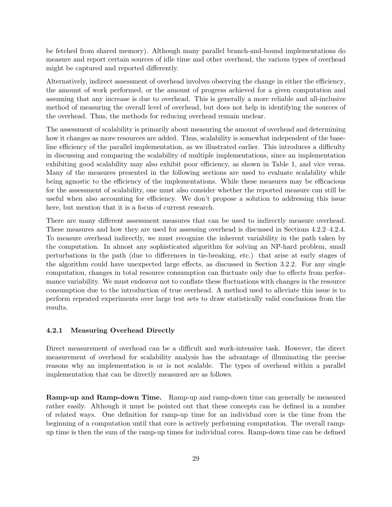be fetched from shared memory). Although many parallel branch-and-bound implementations do measure and report certain sources of idle time and other overhead, the various types of overhead might be captured and reported differently.

Alternatively, indirect assessment of overhead involves observing the change in either the efficiency, the amount of work performed, or the amount of progress achieved for a given computation and assuming that any increase is due to overhead. This is generally a more reliable and all-inclusive method of measuring the overall level of overhead, but does not help in identifying the sources of the overhead. Thus, the methods for reducing overhead remain unclear.

The assessment of scalability is primarily about measuring the amount of overhead and determining how it changes as more resources are added. Thus, scalability is somewhat independent of the baseline efficiency of the parallel implementation, as we illustrated earlier. This introduces a difficulty in discussing and comparing the scalability of multiple implementations, since an implementation exhibiting good scalability may also exhibit poor efficiency, as shown in Table 1, and vice versa. Many of the measures presented in the following sections are used to evaluate scalability while being agnostic to the efficiency of the implementations. While these measures may be efficacious for the assessment of scalability, one must also consider whether the reported measure can still be useful when also accounting for efficiency. We don't propose a solution to addressing this issue here, but mention that it is a focus of current research.

There are many different assessment measures that can be used to indirectly measure overhead. These measures and how they are used for assessing overhead is discussed in Sections 4.2.2–4.2.4. To measure overhead indirectly, we must recognize the inherent variability in the path taken by the computation. In almost any sophisticated algorithm for solving an NP-hard problem, small perturbations in the path (due to differences in tie-breaking, etc.) that arise at early stages of the algorithm could have unexpected large effects, as discussed in Section 3.2.2. For any single computation, changes in total resource consumption can fluctuate only due to effects from performance variability. We must endeavor not to conflate these fluctuations with changes in the resource consumption due to the introduction of true overhead. A method used to alleviate this issue is to perform repeated experiments over large test sets to draw statistically valid conclusions from the results.

#### 4.2.1 Measuring Overhead Directly

Direct measurement of overhead can be a difficult and work-intensive task. However, the direct measurement of overhead for scalability analysis has the advantage of illuminating the precise reasons why an implementation is or is not scalable. The types of overhead within a parallel implementation that can be directly measured are as follows.

Ramp-up and Ramp-down Time. Ramp-up and ramp-down time can generally be measured rather easily. Although it must be pointed out that these concepts can be defined in a number of related ways. One definition for ramp-up time for an individual core is the time from the beginning of a computation until that core is actively performing computation. The overall rampup time is then the sum of the ramp-up times for individual cores. Ramp-down time can be defined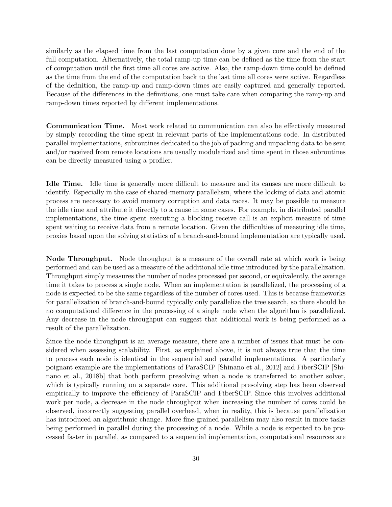similarly as the elapsed time from the last computation done by a given core and the end of the full computation. Alternatively, the total ramp-up time can be defined as the time from the start of computation until the first time all cores are active. Also, the ramp-down time could be defined as the time from the end of the computation back to the last time all cores were active. Regardless of the definition, the ramp-up and ramp-down times are easily captured and generally reported. Because of the differences in the definitions, one must take care when comparing the ramp-up and ramp-down times reported by different implementations.

Communication Time. Most work related to communication can also be effectively measured by simply recording the time spent in relevant parts of the implementations code. In distributed parallel implementations, subroutines dedicated to the job of packing and unpacking data to be sent and/or received from remote locations are usually modularized and time spent in those subroutines can be directly measured using a profiler.

Idle Time. Idle time is generally more difficult to measure and its causes are more difficult to identify. Especially in the case of shared-memory parallelism, where the locking of data and atomic process are necessary to avoid memory corruption and data races. It may be possible to measure the idle time and attribute it directly to a cause in some cases. For example, in distributed parallel implementations, the time spent executing a blocking receive call is an explicit measure of time spent waiting to receive data from a remote location. Given the difficulties of measuring idle time, proxies based upon the solving statistics of a branch-and-bound implementation are typically used.

Node Throughput. Node throughput is a measure of the overall rate at which work is being performed and can be used as a measure of the additional idle time introduced by the parallelization. Throughput simply measures the number of nodes processed per second, or equivalently, the average time it takes to process a single node. When an implementation is parallelized, the processing of a node is expected to be the same regardless of the number of cores used. This is because frameworks for parallelization of branch-and-bound typically only parallelize the tree search, so there should be no computational difference in the processing of a single node when the algorithm is parallelized. Any decrease in the node throughput can suggest that additional work is being performed as a result of the parallelization.

Since the node throughput is an average measure, there are a number of issues that must be considered when assessing scalability. First, as explained above, it is not always true that the time to process each node is identical in the sequential and parallel implementations. A particularly poignant example are the implementations of ParaSCIP [Shinano et al., 2012] and FiberSCIP [Shinano et al., 2018b] that both perform presolving when a node is transferred to another solver, which is typically running on a separate core. This additional presolving step has been observed empirically to improve the efficiency of ParaSCIP and FiberSCIP. Since this involves additional work per node, a decrease in the node throughput when increasing the number of cores could be observed, incorrectly suggesting parallel overhead, when in reality, this is because parallelization has introduced an algorithmic change. More fine-grained parallelism may also result in more tasks being performed in parallel during the processing of a node. While a node is expected to be processed faster in parallel, as compared to a sequential implementation, computational resources are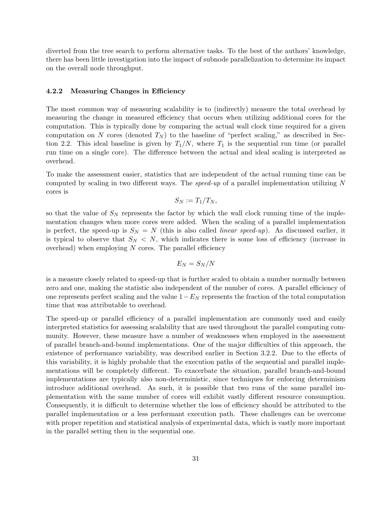diverted from the tree search to perform alternative tasks. To the best of the authors' knowledge, there has been little investigation into the impact of subnode parallelization to determine its impact on the overall node throughput.

#### 4.2.2 Measuring Changes in Efficiency

The most common way of measuring scalability is to (indirectly) measure the total overhead by measuring the change in measured efficiency that occurs when utilizing additional cores for the computation. This is typically done by comparing the actual wall clock time required for a given computation on N cores (denoted  $T_N$ ) to the baseline of "perfect scaling," as described in Section 2.2. This ideal baseline is given by  $T_1/N$ , where  $T_1$  is the sequential run time (or parallel run time on a single core). The difference between the actual and ideal scaling is interpreted as overhead.

To make the assessment easier, statistics that are independent of the actual running time can be computed by scaling in two different ways. The speed-up of a parallel implementation utilizing N cores is

$$
S_N := T_1/T_N,
$$

so that the value of  $S_N$  represents the factor by which the wall clock running time of the implementation changes when more cores were added. When the scaling of a parallel implementation is perfect, the speed-up is  $S_N = N$  (this is also called *linear speed-up*). As discussed earlier, it is typical to observe that  $S_N < N$ , which indicates there is some loss of efficiency (increase in overhead) when employing  $N$  cores. The parallel efficiency

$$
E_N=S_N/N
$$

is a measure closely related to speed-up that is further scaled to obtain a number normally between zero and one, making the statistic also independent of the number of cores. A parallel efficiency of one represents perfect scaling and the value  $1-E_N$  represents the fraction of the total computation time that was attributable to overhead.

The speed-up or parallel efficiency of a parallel implementation are commonly used and easily interpreted statistics for assessing scalability that are used throughout the parallel computing community. However, these measure have a number of weaknesses when employed in the assessment of parallel branch-and-bound implementations. One of the major difficulties of this approach, the existence of performance variability, was described earlier in Section 3.2.2. Due to the effects of this variability, it is highly probable that the execution paths of the sequential and parallel implementations will be completely different. To exacerbate the situation, parallel branch-and-bound implementations are typically also non-deterministic, since techniques for enforcing determinism introduce additional overhead. As such, it is possible that two runs of the same parallel implementation with the same number of cores will exhibit vastly different resource consumption. Consequently, it is difficult to determine whether the loss of efficiency should be attributed to the parallel implementation or a less performant execution path. These challenges can be overcome with proper repetition and statistical analysis of experimental data, which is vastly more important in the parallel setting then in the sequential one.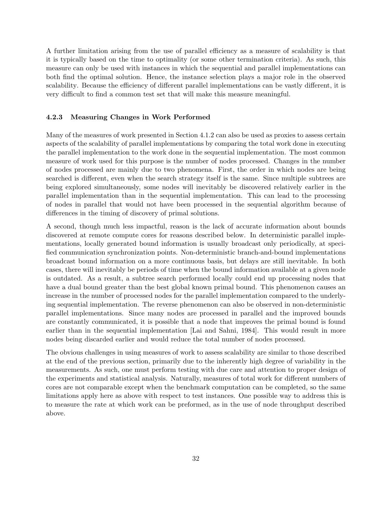A further limitation arising from the use of parallel efficiency as a measure of scalability is that it is typically based on the time to optimality (or some other termination criteria). As such, this measure can only be used with instances in which the sequential and parallel implementations can both find the optimal solution. Hence, the instance selection plays a major role in the observed scalability. Because the efficiency of different parallel implementations can be vastly different, it is very difficult to find a common test set that will make this measure meaningful.

#### 4.2.3 Measuring Changes in Work Performed

Many of the measures of work presented in Section 4.1.2 can also be used as proxies to assess certain aspects of the scalability of parallel implementations by comparing the total work done in executing the parallel implementation to the work done in the sequential implementation. The most common measure of work used for this purpose is the number of nodes processed. Changes in the number of nodes processed are mainly due to two phenomena. First, the order in which nodes are being searched is different, even when the search strategy itself is the same. Since multiple subtrees are being explored simultaneously, some nodes will inevitably be discovered relatively earlier in the parallel implementation than in the sequential implementation. This can lead to the processing of nodes in parallel that would not have been processed in the sequential algorithm because of differences in the timing of discovery of primal solutions.

A second, though much less impactful, reason is the lack of accurate information about bounds discovered at remote compute cores for reasons described below. In deterministic parallel implementations, locally generated bound information is usually broadcast only periodically, at specified communication synchronization points. Non-deterministic branch-and-bound implementations broadcast bound information on a more continuous basis, but delays are still inevitable. In both cases, there will inevitably be periods of time when the bound information available at a given node is outdated. As a result, a subtree search performed locally could end up processing nodes that have a dual bound greater than the best global known primal bound. This phenomenon causes an increase in the number of processed nodes for the parallel implementation compared to the underlying sequential implementation. The reverse phenomenon can also be observed in non-deterministic parallel implementations. Since many nodes are processed in parallel and the improved bounds are constantly communicated, it is possible that a node that improves the primal bound is found earlier than in the sequential implementation [Lai and Sahni, 1984]. This would result in more nodes being discarded earlier and would reduce the total number of nodes processed.

The obvious challenges in using measures of work to assess scalability are similar to those described at the end of the previous section, primarily due to the inherently high degree of variability in the measurements. As such, one must perform testing with due care and attention to proper design of the experiments and statistical analysis. Naturally, measures of total work for different numbers of cores are not comparable except when the benchmark computation can be completed, so the same limitations apply here as above with respect to test instances. One possible way to address this is to measure the rate at which work can be preformed, as in the use of node throughput described above.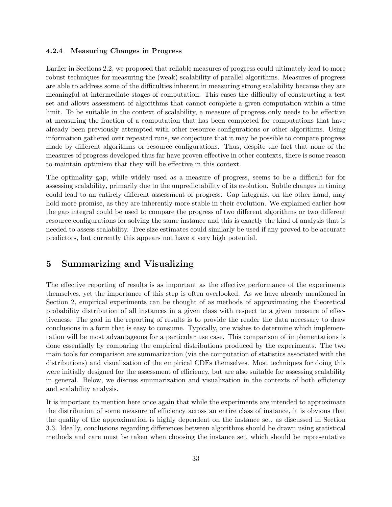#### 4.2.4 Measuring Changes in Progress

Earlier in Sections 2.2, we proposed that reliable measures of progress could ultimately lead to more robust techniques for measuring the (weak) scalability of parallel algorithms. Measures of progress are able to address some of the difficulties inherent in measuring strong scalability because they are meaningful at intermediate stages of computation. This eases the difficulty of constructing a test set and allows assessment of algorithms that cannot complete a given computation within a time limit. To be suitable in the context of scalability, a measure of progress only needs to be effective at measuring the fraction of a computation that has been completed for computations that have already been previously attempted with other resource configurations or other algorithms. Using information gathered over repeated runs, we conjecture that it may be possible to compare progress made by different algorithms or resource configurations. Thus, despite the fact that none of the measures of progress developed thus far have proven effective in other contexts, there is some reason to maintain optimism that they will be effective in this context.

The optimality gap, while widely used as a measure of progress, seems to be a difficult for for assessing scalability, primarily due to the unpredictability of its evolution. Subtle changes in timing could lead to an entirely different assessment of progress. Gap integrals, on the other hand, may hold more promise, as they are inherently more stable in their evolution. We explained earlier how the gap integral could be used to compare the progress of two different algorithms or two different resource configurations for solving the same instance and this is exactly the kind of analysis that is needed to assess scalability. Tree size estimates could similarly be used if any proved to be accurate predictors, but currently this appears not have a very high potential.

## 5 Summarizing and Visualizing

The effective reporting of results is as important as the effective performance of the experiments themselves, yet the importance of this step is often overlooked. As we have already mentioned in Section 2, empirical experiments can be thought of as methods of approximating the theoretical probability distribution of all instances in a given class with respect to a given measure of effectiveness. The goal in the reporting of results is to provide the reader the data necessary to draw conclusions in a form that is easy to consume. Typically, one wishes to determine which implementation will be most advantageous for a particular use case. This comparison of implementations is done essentially by comparing the empirical distributions produced by the experiments. The two main tools for comparison are summarization (via the computation of statistics associated with the distributions) and visualization of the empirical CDFs themselves. Most techniques for doing this were initially designed for the assessment of efficiency, but are also suitable for assessing scalability in general. Below, we discuss summarization and visualization in the contexts of both efficiency and scalability analysis.

It is important to mention here once again that while the experiments are intended to approximate the distribution of some measure of efficiency across an entire class of instance, it is obvious that the quality of the approximation is highly dependent on the instance set, as discussed in Section 3.3. Ideally, conclusions regarding differences between algorithms should be drawn using statistical methods and care must be taken when choosing the instance set, which should be representative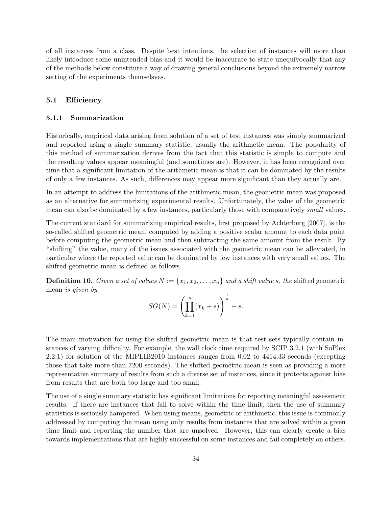of all instances from a class. Despite best intentions, the selection of instances will more than likely introduce some unintended bias and it would be inaccurate to state unequivocally that any of the methods below constitute a way of drawing general conclusions beyond the extremely narrow setting of the experiments themselsves.

#### 5.1 Efficiency

#### 5.1.1 Summarization

Historically, empirical data arising from solution of a set of test instances was simply summarized and reported using a single summary statistic, usually the arithmetic mean. The popularity of this method of summarization derives from the fact that this statistic is simple to compute and the resulting values appear meaningful (and sometimes are). However, it has been recognized over time that a significant limitation of the arithmetic mean is that it can be dominated by the results of only a few instances. As such, differences may appear more significant than they actually are.

In an attempt to address the limitations of the arithmetic mean, the geometric mean was proposed as an alternative for summarizing experimental results. Unfortunately, the value of the geometric mean can also be dominated by a few instances, particularly those with comparatively *small* values.

The current standard for summarizing empirical results, first proposed by Achterberg [2007], is the so-called shifted geometric mean, computed by adding a positive scalar amount to each data point before computing the geometric mean and then subtracting the same amount from the result. By "shifting" the value, many of the issues associated with the geometric mean can be alleviated, in particular where the reported value can be dominated by few instances with very small values. The shifted geometric mean is defined as follows.

**Definition 10.** Given a set of values  $N := \{x_1, x_2, \ldots, x_n\}$  and a shift value s, the shifted geometric mean is given by

$$
SG(N) = \left(\prod_{k=1}^{n} (x_k + s)\right)^{\frac{1}{n}} - s.
$$

The main motivation for using the shifted geometric mean is that test sets typically contain instances of varying difficulty. For example, the wall clock time required by SCIP 3.2.1 (with SoPlex 2.2.1) for solution of the MIPLIB2010 instances ranges from 0.02 to 4414.33 seconds (excepting those that take more than 7200 seconds). The shifted geometric mean is seen as providing a more representative summary of results from such a diverse set of instances, since it protects against bias from results that are both too large and too small.

The use of a single summary statistic has significant limitations for reporting meaningful assessment results. If there are instances that fail to solve within the time limit, then the use of summary statistics is seriously hampered. When using means, geometric or arithmetic, this issue is commonly addressed by computing the mean using only results from instances that are solved within a given time limit and reporting the number that are unsolved. However, this can clearly create a bias towards implementations that are highly successful on some instances and fail completely on others.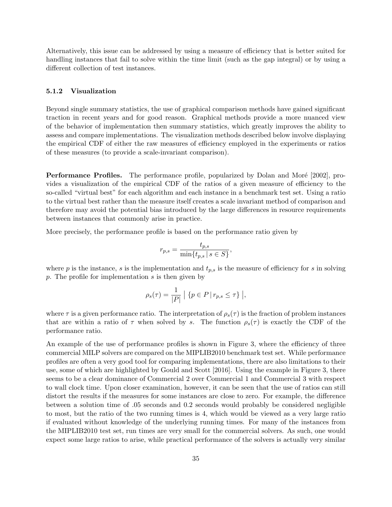Alternatively, this issue can be addressed by using a measure of efficiency that is better suited for handling instances that fail to solve within the time limit (such as the gap integral) or by using a different collection of test instances.

#### 5.1.2 Visualization

Beyond single summary statistics, the use of graphical comparison methods have gained significant traction in recent years and for good reason. Graphical methods provide a more nuanced view of the behavior of implementation then summary statistics, which greatly improves the ability to assess and compare implementations. The visualization methods described below involve displaying the empirical CDF of either the raw measures of efficiency employed in the experiments or ratios of these measures (to provide a scale-invariant comparison).

**Performance Profiles.** The performance profile, popularized by Dolan and Moré [2002], provides a visualization of the empirical CDF of the ratios of a given measure of efficiency to the so-called "virtual best" for each algorithm and each instance in a benchmark test set. Using a ratio to the virtual best rather than the measure itself creates a scale invariant method of comparison and therefore may avoid the potential bias introduced by the large differences in resource requirements between instances that commonly arise in practice.

More precisely, the performance profile is based on the performance ratio given by

$$
r_{p,s} = \frac{t_{p,s}}{\min\{t_{p,s} \mid s \in S\}},
$$

where p is the instance, s is the implementation and  $t_{p,s}$  is the measure of efficiency for s in solving p. The profile for implementation  $s$  is then given by

$$
\rho_s(\tau) = \frac{1}{|P|} | \{ p \in P | r_{p,s} \leq \tau \} |,
$$

where  $\tau$  is a given performance ratio. The interpretation of  $\rho_s(\tau)$  is the fraction of problem instances that are within a ratio of  $\tau$  when solved by s. The function  $\rho_s(\tau)$  is exactly the CDF of the performance ratio.

An example of the use of performance profiles is shown in Figure 3, where the efficiency of three commercial MILP solvers are compared on the MIPLIB2010 benchmark test set. While performance profiles are often a very good tool for comparing implementations, there are also limitations to their use, some of which are highlighted by Gould and Scott [2016]. Using the example in Figure 3, there seems to be a clear dominance of Commercial 2 over Commercial 1 and Commercial 3 with respect to wall clock time. Upon closer examination, however, it can be seen that the use of ratios can still distort the results if the measures for some instances are close to zero. For example, the difference between a solution time of .05 seconds and 0.2 seconds would probably be considered negligible to most, but the ratio of the two running times is 4, which would be viewed as a very large ratio if evaluated without knowledge of the underlying running times. For many of the instances from the MIPLIB2010 test set, run times are very small for the commercial solvers. As such, one would expect some large ratios to arise, while practical performance of the solvers is actually very similar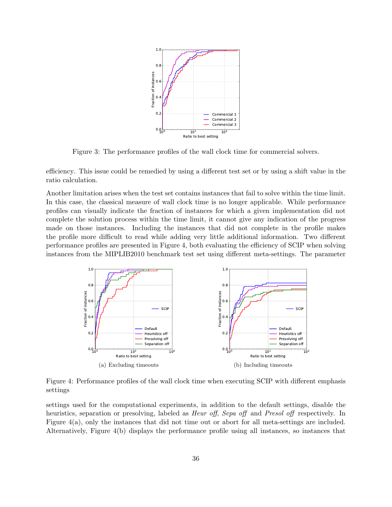

Figure 3: The performance profiles of the wall clock time for commercial solvers.

efficiency. This issue could be remedied by using a different test set or by using a shift value in the ratio calculation.

Another limitation arises when the test set contains instances that fail to solve within the time limit. In this case, the classical measure of wall clock time is no longer applicable. While performance profiles can visually indicate the fraction of instances for which a given implementation did not complete the solution process within the time limit, it cannot give any indication of the progress made on those instances. Including the instances that did not complete in the profile makes the profile more difficult to read while adding very little additional information. Two different performance profiles are presented in Figure 4, both evaluating the efficiency of SCIP when solving instances from the MIPLIB2010 benchmark test set using different meta-settings. The parameter



Figure 4: Performance profiles of the wall clock time when executing SCIP with different emphasis settings

settings used for the computational experiments, in addition to the default settings, disable the heuristics, separation or presolving, labeled as *Heur off, Sepa off* and *Presol off* respectively. In Figure 4(a), only the instances that did not time out or abort for all meta-settings are included. Alternatively, Figure 4(b) displays the performance profile using all instances, so instances that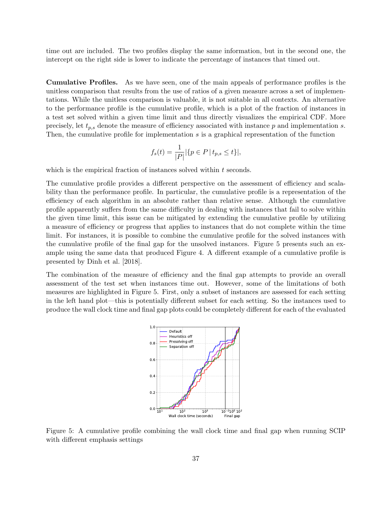time out are included. The two profiles display the same information, but in the second one, the intercept on the right side is lower to indicate the percentage of instances that timed out.

Cumulative Profiles. As we have seen, one of the main appeals of performance profiles is the unitless comparison that results from the use of ratios of a given measure across a set of implementations. While the unitless comparison is valuable, it is not suitable in all contexts. An alternative to the performance profile is the cumulative profile, which is a plot of the fraction of instances in a test set solved within a given time limit and thus directly visualizes the empirical CDF. More precisely, let  $t_{p,s}$  denote the measure of efficiency associated with instance p and implementation s. Then, the cumulative profile for implementation s is a graphical representation of the function

$$
f_s(t) = \frac{1}{|P|} |\{ p \in P \, | \, t_{p,s} \le t \}|,
$$

which is the empirical fraction of instances solved within  $t$  seconds.

The cumulative profile provides a different perspective on the assessment of efficiency and scalability than the performance profile. In particular, the cumulative profile is a representation of the efficiency of each algorithm in an absolute rather than relative sense. Although the cumulative profile apparently suffers from the same difficulty in dealing with instances that fail to solve within the given time limit, this issue can be mitigated by extending the cumulative profile by utilizing a measure of efficiency or progress that applies to instances that do not complete within the time limit. For instances, it is possible to combine the cumulative profile for the solved instances with the cumulative profile of the final gap for the unsolved instances. Figure 5 presents such an example using the same data that produced Figure 4. A different example of a cumulative profile is presented by Dinh et al. [2018].

The combination of the measure of efficiency and the final gap attempts to provide an overall assessment of the test set when instances time out. However, some of the limitations of both measures are highlighted in Figure 5. First, only a subset of instances are assessed for each setting in the left hand plot—this is potentially different subset for each setting. So the instances used to produce the wall clock time and final gap plots could be completely different for each of the evaluated



Figure 5: A cumulative profile combining the wall clock time and final gap when running SCIP with different emphasis settings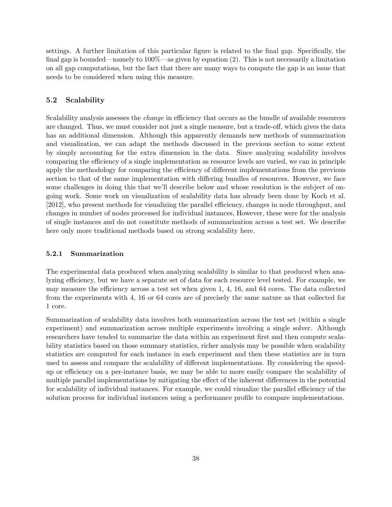settings. A further limitation of this particular figure is related to the final gap. Specifically, the final gap is bounded—namely to 100%—as given by equation (2). This is not necessarily a limitation on all gap computations, but the fact that there are many ways to compute the gap is an issue that needs to be considered when using this measure.

#### 5.2 Scalability

Scalability analysis assesses the *change* in efficiency that occurs as the bundle of available resources are changed. Thus, we must consider not just a single measure, but a trade-off, which gives the data has an additional dimension. Although this apparently demands new methods of summarization and visualization, we can adapt the methods discussed in the previous section to some extent by simply accounting for the extra dimension in the data. Since analyzing scalability involves comparing the efficiency of a single implementation as resource levels are varied, we can in principle apply the methodology for comparing the efficiency of different implementations from the previous section to that of the same implementation with differing bundles of resources. However, we face some challenges in doing this that we'll describe below and whose resolution is the subject of ongoing work. Some work on visualization of scalability data has already been done by Koch et al. [2012], who present methods for visualizing the parallel efficiency, changes in node throughput, and changes in number of nodes processed for individual instances, However, these were for the analysis of single instances and do not constitute methods of summarization across a test set. We describe here only more traditional methods based on strong scalability here.

#### 5.2.1 Summarization

The experimental data produced when analyzing scalability is similar to that produced when analyzing efficiency, but we have a separate set of data for each resource level tested. For example, we may measure the efficiency across a test set when given 1, 4, 16, and 64 cores. The data collected from the experiments with 4, 16 or 64 cores are of precisely the same nature as that collected for 1 core.

Summarization of scalability data involves both summarization across the test set (within a single experiment) and summarization across multiple experiments involving a single solver. Although researchers have tended to summarize the data within an experiment first and then compute scalability statistics based on those summary statistics, richer analysis may be possible when scalability statistics are computed for each instance in each experiment and then these statistics are in turn used to assess and compare the scalability of different implementations. By considering the speedup or efficiency on a per-instance basis, we may be able to more easily compare the scalability of multiple parallel implementations by mitigating the effect of the inherent differences in the potential for scalability of individual instances. For example, we could visualize the parallel efficiency of the solution process for individual instances using a performance profile to compare implementations.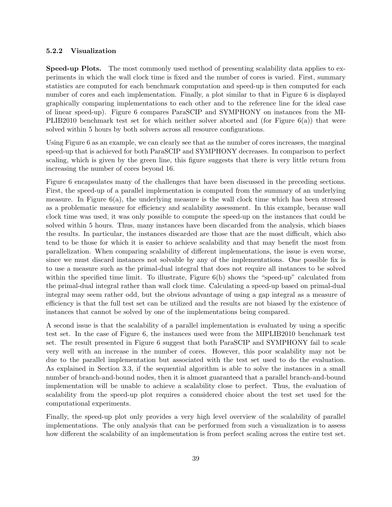#### 5.2.2 Visualization

Speed-up Plots. The most commonly used method of presenting scalability data applies to experiments in which the wall clock time is fixed and the number of cores is varied. First, summary statistics are computed for each benchmark computation and speed-up is then computed for each number of cores and each implementation. Finally, a plot similar to that in Figure 6 is displayed graphically comparing implementations to each other and to the reference line for the ideal case of linear speed-up). Figure 6 compares ParaSCIP and SYMPHONY on instances from the MI-PLIB2010 benchmark test set for which neither solver aborted and (for Figure 6(a)) that were solved within 5 hours by both solvers across all resource configurations.

Using Figure 6 as an example, we can clearly see that as the number of cores increases, the marginal speed-up that is achieved for both ParaSCIP and SYMPHONY decreases. In comparison to perfect scaling, which is given by the green line, this figure suggests that there is very little return from increasing the number of cores beyond 16.

Figure 6 encapsulates many of the challenges that have been discussed in the preceding sections. First, the speed-up of a parallel implementation is computed from the summary of an underlying measure. In Figure  $6(a)$ , the underlying measure is the wall clock time which has been stressed as a problematic measure for efficiency and scalability assessment. In this example, because wall clock time was used, it was only possible to compute the speed-up on the instances that could be solved within 5 hours. Thus, many instances have been discarded from the analysis, which biases the results. In particular, the instances discarded are those that are the most difficult, which also tend to be those for which it is easier to achieve scalability and that may benefit the most from parallelization. When comparing scalability of different implementations, the issue is even worse, since we must discard instances not solvable by any of the implementations. One possible fix is to use a measure such as the primal-dual integral that does not require all instances to be solved within the specified time limit. To illustrate, Figure 6(b) shows the "speed-up" calculated from the primal-dual integral rather than wall clock time. Calculating a speed-up based on primal-dual integral may seem rather odd, but the obvious advantage of using a gap integral as a measure of efficiency is that the full test set can be utilized and the results are not biased by the existence of instances that cannot be solved by one of the implementations being compared.

A second issue is that the scalability of a parallel implementation is evaluated by using a specific test set. In the case of Figure 6, the instances used were from the MIPLIB2010 benchmark test set. The result presented in Figure 6 suggest that both ParaSCIP and SYMPHONY fail to scale very well with an increase in the number of cores. However, this poor scalability may not be due to the parallel implementation but associated with the test set used to do the evaluation. As explained in Section 3.3, if the sequential algorithm is able to solve the instances in a small number of branch-and-bound nodes, then it is almost guaranteed that a parallel branch-and-bound implementation will be unable to achieve a scalability close to perfect. Thus, the evaluation of scalability from the speed-up plot requires a considered choice about the test set used for the computational experiments.

Finally, the speed-up plot only provides a very high level overview of the scalability of parallel implementations. The only analysis that can be performed from such a visualization is to assess how different the scalability of an implementation is from perfect scaling across the entire test set.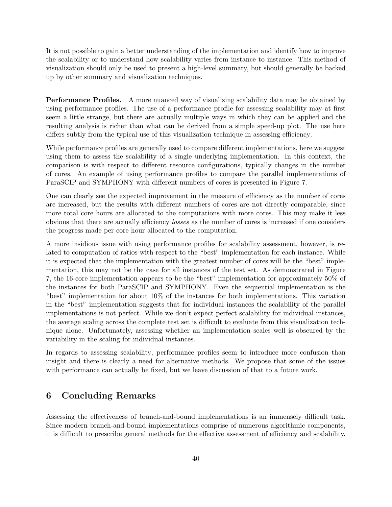It is not possible to gain a better understanding of the implementation and identify how to improve the scalability or to understand how scalability varies from instance to instance. This method of visualization should only be used to present a high-level summary, but should generally be backed up by other summary and visualization techniques.

Performance Profiles. A more nuanced way of visualizing scalability data may be obtained by using performance profiles. The use of a performance profile for assessing scalability may at first seem a little strange, but there are actually multiple ways in which they can be applied and the resulting analysis is richer than what can be derived from a simple speed-up plot. The use here differs subtly from the typical use of this visualization technique in assessing efficiency.

While performance profiles are generally used to compare different implementations, here we suggest using them to assess the scalability of a single underlying implementation. In this context, the comparison is with respect to different resource configurations, typically changes in the number of cores. An example of using performance profiles to compare the parallel implementations of ParaSCIP and SYMPHONY with different numbers of cores is presented in Figure 7.

One can clearly see the expected improvement in the measure of efficiency as the number of cores are increased, but the results with different numbers of cores are not directly comparable, since more total core hours are allocated to the computations with more cores. This may make it less obvious that there are actually efficiency losses as the number of cores is increased if one considers the progress made per core hour allocated to the computation.

A more insidious issue with using performance profiles for scalability assessment, however, is related to computation of ratios with respect to the "best" implementation for each instance. While it is expected that the implementation with the greatest number of cores will be the "best" implementation, this may not be the case for all instances of the test set. As demonstrated in Figure 7, the 16-core implementation appears to be the "best" implementation for approximately 50% of the instances for both ParaSCIP and SYMPHONY. Even the sequential implementation is the "best" implementation for about 10% of the instances for both implementations. This variation in the "best" implementation suggests that for individual instances the scalability of the parallel implementations is not perfect. While we don't expect perfect scalability for individual instances, the average scaling across the complete test set is difficult to evaluate from this visualization technique alone. Unfortunately, assessing whether an implementation scales well is obscured by the variability in the scaling for individual instances.

In regards to assessing scalability, performance profiles seem to introduce more confusion than insight and there is clearly a need for alternative methods. We propose that some of the issues with performance can actually be fixed, but we leave discussion of that to a future work.

## 6 Concluding Remarks

Assessing the effectiveness of branch-and-bound implementations is an immensely difficult task. Since modern branch-and-bound implementations comprise of numerous algorithmic components, it is difficult to prescribe general methods for the effective assessment of efficiency and scalability.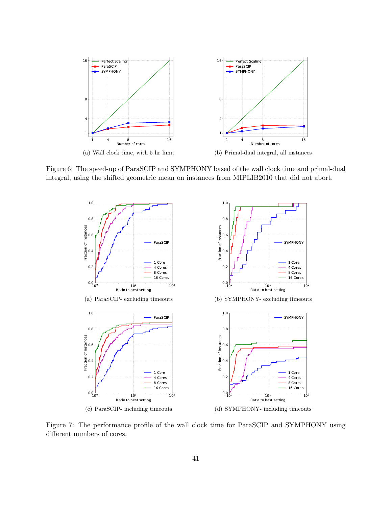

Figure 6: The speed-up of ParaSCIP and SYMPHONY based of the wall clock time and primal-dual integral, using the shifted geometric mean on instances from MIPLIB2010 that did not abort.



Figure 7: The performance profile of the wall clock time for ParaSCIP and SYMPHONY using different numbers of cores.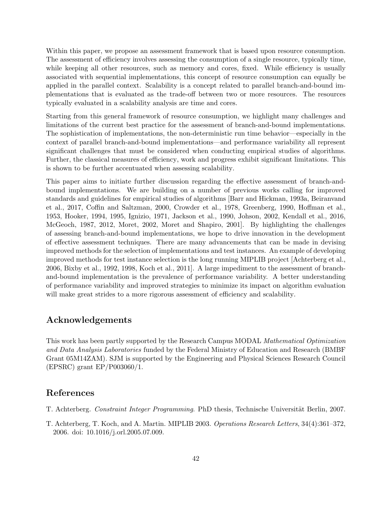Within this paper, we propose an assessment framework that is based upon resource consumption. The assessment of efficiency involves assessing the consumption of a single resource, typically time, while keeping all other resources, such as memory and cores, fixed. While efficiency is usually associated with sequential implementations, this concept of resource consumption can equally be applied in the parallel context. Scalability is a concept related to parallel branch-and-bound implementations that is evaluated as the trade-off between two or more resources. The resources typically evaluated in a scalability analysis are time and cores.

Starting from this general framework of resource consumption, we highlight many challenges and limitations of the current best practice for the assessment of branch-and-bound implementations. The sophistication of implementations, the non-deterministic run time behavior—especially in the context of parallel branch-and-bound implementations—and performance variability all represent significant challenges that must be considered when conducting empirical studies of algorithms. Further, the classical measures of efficiency, work and progress exhibit significant limitations. This is shown to be further accentuated when assessing scalability.

This paper aims to initiate further discussion regarding the effective assessment of branch-andbound implementations. We are building on a number of previous works calling for improved standards and guidelines for empirical studies of algorithms [Barr and Hickman, 1993a, Beiranvand et al., 2017, Coffin and Saltzman, 2000, Crowder et al., 1978, Greenberg, 1990, Hoffman et al., 1953, Hooker, 1994, 1995, Ignizio, 1971, Jackson et al., 1990, Johson, 2002, Kendall et al., 2016, McGeoch, 1987, 2012, Moret, 2002, Moret and Shapiro, 2001]. By highlighting the challenges of assessing branch-and-bound implementations, we hope to drive innovation in the development of effective assessment techniques. There are many advancements that can be made in devising improved methods for the selection of implementations and test instances. An example of developing improved methods for test instance selection is the long running MIPLIB project [Achterberg et al., 2006, Bixby et al., 1992, 1998, Koch et al., 2011]. A large impediment to the assessment of branchand-bound implementation is the prevalence of performance variability. A better understanding of performance variability and improved strategies to minimize its impact on algorithm evaluation will make great strides to a more rigorous assessment of efficiency and scalability.

## Acknowledgements

This work has been partly supported by the Research Campus MODAL Mathematical Optimization and Data Analysis Laboratories funded by the Federal Ministry of Education and Research (BMBF Grant 05M14ZAM). SJM is supported by the Engineering and Physical Sciences Research Council (EPSRC) grant EP/P003060/1.

## References

- T. Achterberg. Constraint Integer Programming. PhD thesis, Technische Universität Berlin, 2007.
- T. Achterberg, T. Koch, and A. Martin. MIPLIB 2003. Operations Research Letters, 34(4):361–372, 2006. doi: 10.1016/j.orl.2005.07.009.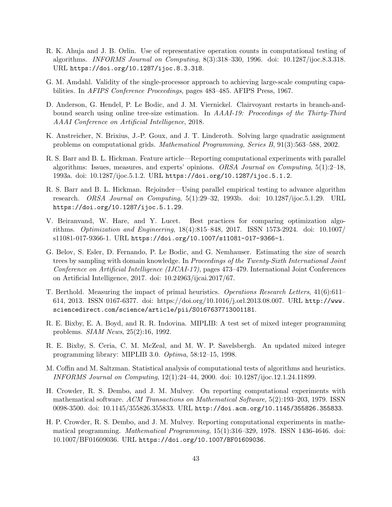- R. K. Ahuja and J. B. Orlin. Use of representative operation counts in computational testing of algorithms. INFORMS Journal on Computing, 8(3):318–330, 1996. doi: 10.1287/ijoc.8.3.318. URL https://doi.org/10.1287/ijoc.8.3.318.
- G. M. Amdahl. Validity of the single-processor approach to achieving large-scale computing capabilities. In AFIPS Conference Proceedings, pages 483–485. AFIPS Press, 1967.
- D. Anderson, G. Hendel, P. Le Bodic, and J. M. Viernickel. Clairvoyant restarts in branch-andbound search using online tree-size estimation. In AAAI-19: Proceedings of the Thirty-Third AAAI Conference on Artificial Intelligence, 2018.
- K. Anstreicher, N. Brixius, J.-P. Goux, and J. T. Linderoth. Solving large quadratic assignment problems on computational grids. Mathematical Programming, Series B, 91(3):563–588, 2002.
- R. S. Barr and B. L. Hickman. Feature article—Reporting computational experiments with parallel algorithms: Issues, measures, and experts' opinions. ORSA Journal on Computing, 5(1):2–18, 1993a. doi: 10.1287/ijoc.5.1.2. URL https://doi.org/10.1287/ijoc.5.1.2.
- R. S. Barr and B. L. Hickman. Rejoinder—Using parallel empirical testing to advance algorithm research. ORSA Journal on Computing, 5(1):29–32, 1993b. doi: 10.1287/ijoc.5.1.29. URL https://doi.org/10.1287/ijoc.5.1.29.
- V. Beiranvand, W. Hare, and Y. Lucet. Best practices for comparing optimization algorithms. Optimization and Engineering, 18(4):815–848, 2017. ISSN 1573-2924. doi: 10.1007/ s11081-017-9366-1. URL https://doi.org/10.1007/s11081-017-9366-1.
- G. Belov, S. Esler, D. Fernando, P. Le Bodic, and G. Nemhauser. Estimating the size of search trees by sampling with domain knowledge. In Proceedings of the Twenty-Sixth International Joint Conference on Artificial Intelligence (IJCAI-17), pages 473–479. International Joint Conferences on Artificial Intelligence, 2017. doi: 10.24963/ijcai.2017/67.
- T. Berthold. Measuring the impact of primal heuristics. Operations Research Letters, 41(6):611– 614, 2013. ISSN 0167-6377. doi: https://doi.org/10.1016/j.orl.2013.08.007. URL http://www. sciencedirect.com/science/article/pii/S0167637713001181.
- R. E. Bixby, E. A. Boyd, and R. R. Indovina. MIPLIB: A test set of mixed integer programming problems. SIAM News, 25(2):16, 1992.
- R. E. Bixby, S. Ceria, C. M. McZeal, and M. W. P. Savelsbergh. An updated mixed integer programming library: MIPLIB 3.0. Optima, 58:12–15, 1998.
- M. Coffin and M. Saltzman. Statistical analysis of computational tests of algorithms and heuristics. INFORMS Journal on Computing, 12(1):24–44, 2000. doi: 10.1287/ijoc.12.1.24.11899.
- H. Crowder, R. S. Dembo, and J. M. Mulvey. On reporting computational experiments with mathematical software. ACM Transactions on Mathematical Software, 5(2):193–203, 1979. ISSN 0098-3500. doi: 10.1145/355826.355833. URL http://doi.acm.org/10.1145/355826.355833.
- H. P. Crowder, R. S. Dembo, and J. M. Mulvey. Reporting computational experiments in mathematical programming. Mathematical Programming, 15(1):316–329, 1978. ISSN 1436-4646. doi: 10.1007/BF01609036. URL https://doi.org/10.1007/BF01609036.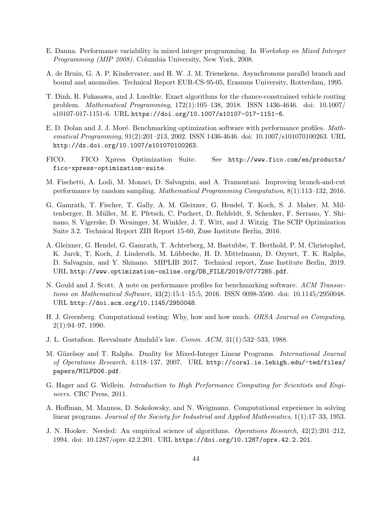- E. Danna. Performance variability in mixed integer programming. In Workshop on Mixed Interger Programming (MIP 2008). Columbia University, New York, 2008.
- A. de Bruin, G. A. P. Kindervater, and H. W. J. M. Trienekens. Asynchronous parallel branch and bound and anomolies. Technical Report EUR-CS-95-05, Erasmus University, Rotterdam, 1995.
- T. Dinh, R. Fukasawa, and J. Luedtke. Exact algorithms for the chance-constrained vehicle routing problem. Mathematical Programming, 172(1):105–138, 2018. ISSN 1436-4646. doi: 10.1007/ s10107-017-1151-6. URL https://doi.org/10.1007/s10107-017-1151-6.
- E. D. Dolan and J. J. Moré. Benchmarking optimization software with performance profiles. Mathematical Programming, 91(2):201–213, 2002. ISSN 1436-4646. doi: 10.1007/s101070100263. URL http://dx.doi.org/10.1007/s101070100263.
- FICO. FICO Xpress Optimization Suite. See http://www.fico.com/en/products/ fico-xpress-optimization-suite.
- M. Fischetti, A. Lodi, M. Monaci, D. Salvagnin, and A. Tramontani. Improving branch-and-cut performance by random sampling. Mathematical Programming Computation, 8(1):113–132, 2016.
- G. Gamrath, T. Fischer, T. Gally, A. M. Gleixner, G. Hendel, T. Koch, S. J. Maher, M. Miltenberger, B. M¨uller, M. E. Pfetsch, C. Puchert, D. Rehfeldt, S. Schenker, F. Serrano, Y. Shinano, S. Vigerske, D. Weninger, M. Winkler, J. T. Witt, and J. Witzig. The SCIP Optimization Suite 3.2. Technical Report ZIB Report 15-60, Zuse Institute Berlin, 2016.
- A. Gleixner, G. Hendel, G. Gamrath, T. Achterberg, M. Bastubbe, T. Berthold, P. M. Christophel, K. Jarck, T. Koch, J. Linderoth, M. Lübbecke, H. D. Mittelmann, D. Ozyurt, T. K. Ralphs, D. Salvagnin, and Y. Shinano. MIPLIB 2017. Technical report, Zuse Institute Berlin, 2019. URL http://www.optimization-online.org/DB\_FILE/2019/07/7285.pdf.
- N. Gould and J. Scott. A note on performance profiles for benchmarking software. ACM Transactions on Mathematical Software, 43(2):15:1–15:5, 2016. ISSN 0098-3500. doi: 10.1145/2950048. URL http://doi.acm.org/10.1145/2950048.
- H. J. Greenberg. Computational testing: Why, how and how much. ORSA Journal on Computing, 2(1):94–97, 1990.
- J. L. Gustafson. Reevaluate Amdahl's law. Comm. ACM, 31(1):532–533, 1988.
- M. Güzelsoy and T. Ralphs. Duality for Mixed-Integer Linear Programs. *International Journal* of Operations Research, 4:118–137, 2007. URL http://coral.ie.lehigh.edu/~ted/files/ papers/MILPD06.pdf.
- G. Hager and G. Wellein. Introduction to High Performance Computing for Scientists and Engineers. CRC Press, 2011.
- A. Hoffman, M. Mannos, D. Sokolowsky, and N. Weigmann. Computational experience in solving linear programs. Journal of the Society for Industrial and Applied Mathematics, 1(1):17–33, 1953.
- J. N. Hooker. Needed: An empirical science of algorithms. Operations Research, 42(2):201–212, 1994. doi: 10.1287/opre.42.2.201. URL https://doi.org/10.1287/opre.42.2.201.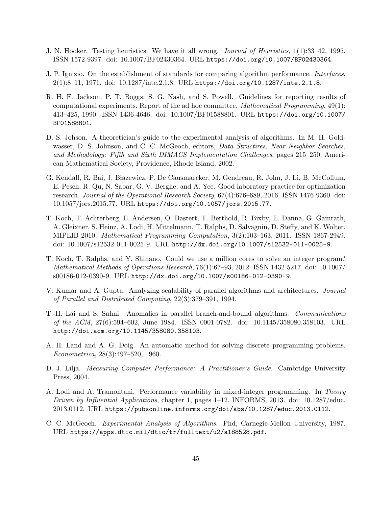- J. N. Hooker. Testing heuristics: We have it all wrong. Journal of Heuristics, 1(1):33–42, 1995. ISSN 1572-9397. doi: 10.1007/BF02430364. URL https://doi.org/10.1007/BF02430364.
- J. P. Ignizio. On the establishment of standards for comparing algorithm performance. Interfaces, 2(1):8–11, 1971. doi: 10.1287/inte.2.1.8. URL https://doi.org/10.1287/inte.2.1.8.
- R. H. F. Jackson, P. T. Boggs, S. G. Nash, and S. Powell. Guidelines for reporting results of computational experiments. Report of the ad hoc committee. Mathematical Programming, 49(1): 413–425, 1990. ISSN 1436-4646. doi: 10.1007/BF01588801. URL https://doi.org/10.1007/ BF01588801.
- D. S. Johson. A theoretician's guide to the experimental analysis of algorithms. In M. H. Goldwasser, D. S. Johnson, and C. C. McGeoch, editors, Data Structires, Near Neighbor Searches, and Methodology: Fifth and Sixth DIMACS Implementation Challenges, pages 215–250. American Mathematical Society, Providence, Rhode Island, 2002.
- G. Kendall, R. Bai, J. Błazewicz, P. De Causmaecker, M. Gendreau, R. John, J. Li, B. McCollum, E. Pesch, R. Qu, N. Sabar, G. V. Berghe, and A. Yee. Good laboratory practice for optimization research. Journal of the Operational Research Society, 67(4):676–689, 2016. ISSN 1476-9360. doi: 10.1057/jors.2015.77. URL https://doi.org/10.1057/jors.2015.77.
- T. Koch, T. Achterberg, E. Andersen, O. Bastert, T. Berthold, R. Bixby, E. Danna, G. Gamrath, A. Gleixner, S. Heinz, A. Lodi, H. Mittelmann, T. Ralphs, D. Salvagnin, D. Steffy, and K. Wolter. MIPLIB 2010. Mathematical Programming Computation, 3(2):103–163, 2011. ISSN 1867-2949. doi: 10.1007/s12532-011-0025-9. URL http://dx.doi.org/10.1007/s12532-011-0025-9.
- T. Koch, T. Ralphs, and Y. Shinano. Could we use a million cores to solve an integer program? Mathematical Methods of Operations Research, 76(1):67–93, 2012. ISSN 1432-5217. doi: 10.1007/ s00186-012-0390-9. URL http://dx.doi.org/10.1007/s00186-012-0390-9.
- V. Kumar and A. Gupta. Analyzing scalability of parallel algorithms and architectures. Journal of Parallel and Distributed Computing, 22(3):379–391, 1994.
- T.-H. Lai and S. Sahni. Anomalies in parallel branch-and-bound algorithms. Communications of the ACM, 27(6):594–602, June 1984. ISSN 0001-0782. doi: 10.1145/358080.358103. URL http://doi.acm.org/10.1145/358080.358103.
- A. H. Land and A. G. Doig. An automatic method for solving discrete programming problems. Econometrica, 28(3):497–520, 1960.
- D. J. Lilja. Measuring Computer Performance: A Practitioner's Guide. Cambridge University Press, 2004.
- A. Lodi and A. Tramontani. Performance variability in mixed-integer programming. In Theory Driven by Influential Applications, chapter 1, pages 1–12. INFORMS, 2013. doi: 10.1287/educ. 2013.0112. URL https://pubsonline.informs.org/doi/abs/10.1287/educ.2013.0112.
- C. C. McGeoch. Experimental Analysis of Algorithms. Phd, Carnegie-Mellon University, 1987. URL https://apps.dtic.mil/dtic/tr/fulltext/u2/a188528.pdf.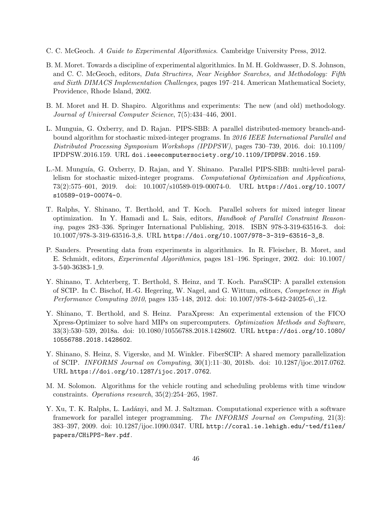- C. C. McGeoch. A Guide to Experimental Algorithmics. Cambridge University Press, 2012.
- B. M. Moret. Towards a discipline of experimental algorithmics. In M. H. Goldwasser, D. S. Johnson, and C. C. McGeoch, editors, Data Structires, Near Neighbor Searches, and Methodology: Fifth and Sixth DIMACS Implementation Challenges, pages 197–214. American Mathematical Society, Providence, Rhode Island, 2002.
- B. M. Moret and H. D. Shapiro. Algorithms and experiments: The new (and old) methodology. Journal of Universal Computer Science, 7(5):434–446, 2001.
- L. Munguia, G. Oxberry, and D. Rajan. PIPS-SBB: A parallel distributed-memory branch-andbound algorithm for stochastic mixed-integer programs. In 2016 IEEE International Parallel and Distributed Processing Symposium Workshops (IPDPSW), pages 730–739, 2016. doi: 10.1109/ IPDPSW.2016.159. URL doi.ieeecomputersociety.org/10.1109/IPDPSW.2016.159.
- L.-M. Munguía, G. Oxberry, D. Rajan, and Y. Shinano. Parallel PIPS-SBB: multi-level parallelism for stochastic mixed-integer programs. Computational Optimization and Applications, 73(2):575–601, 2019. doi: 10.1007/s10589-019-00074-0. URL https://doi.org/10.1007/ s10589-019-00074-0.
- T. Ralphs, Y. Shinano, T. Berthold, and T. Koch. Parallel solvers for mixed integer linear optimization. In Y. Hamadi and L. Sais, editors, Handbook of Parallel Constraint Reasoning, pages 283–336. Springer International Publishing, 2018. ISBN 978-3-319-63516-3. doi: 10.1007/978-3-319-63516-3 8. URL https://doi.org/10.1007/978-3-319-63516-3\_8.
- P. Sanders. Presenting data from experiments in algorithmics. In R. Fleischer, B. Moret, and E. Schmidt, editors, Experimental Algorithmics, pages 181–196. Springer, 2002. doi: 10.1007/ 3-540-36383-1 9.
- Y. Shinano, T. Achterberg, T. Berthold, S. Heinz, and T. Koch. ParaSCIP: A parallel extension of SCIP. In C. Bischof, H.-G. Hegering, W. Nagel, and G. Wittum, editors, Competence in High Performance Computing 2010, pages 135–148, 2012. doi: 10.1007/978-3-642-24025-6\ 12.
- Y. Shinano, T. Berthold, and S. Heinz. ParaXpress: An experimental extension of the FICO Xpress-Optimizer to solve hard MIPs on supercomputers. Optimization Methods and Software, 33(3):530–539, 2018a. doi: 10.1080/10556788.2018.1428602. URL https://doi.org/10.1080/ 10556788.2018.1428602.
- Y. Shinano, S. Heinz, S. Vigerske, and M. Winkler. FiberSCIP: A shared memory parallelization of SCIP. INFORMS Journal on Computing, 30(1):11–30, 2018b. doi: 10.1287/ijoc.2017.0762. URL https://doi.org/10.1287/ijoc.2017.0762.
- M. M. Solomon. Algorithms for the vehicle routing and scheduling problems with time window constraints. Operations research, 35(2):254–265, 1987.
- Y. Xu, T. K. Ralphs, L. Ladányi, and M. J. Saltzman. Computational experience with a software framework for parallel integer programming. The INFORMS Journal on Computing, 21(3): 383–397, 2009. doi: 10.1287/ijoc.1090.0347. URL http://coral.ie.lehigh.edu/~ted/files/ papers/CHiPPS-Rev.pdf.